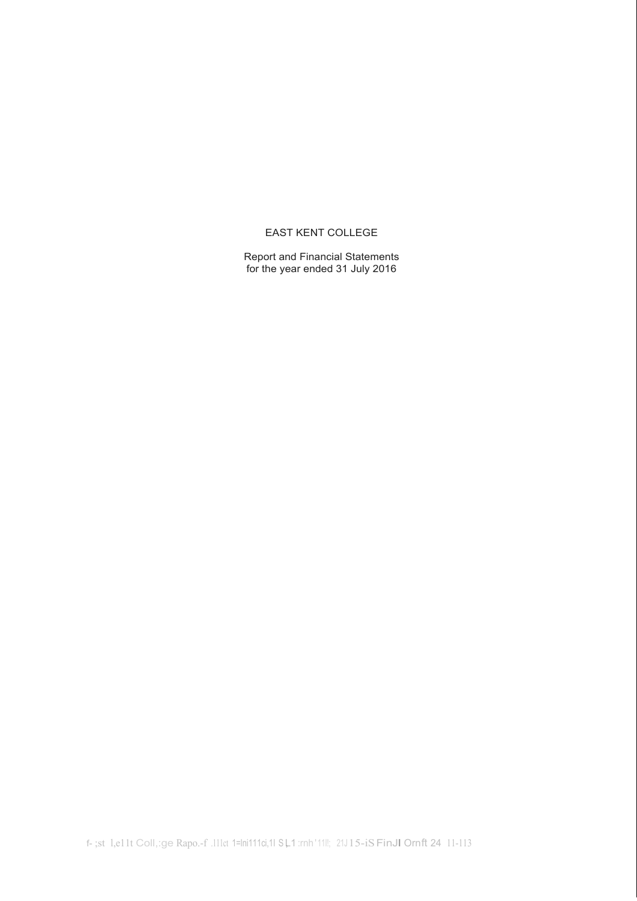# EAST KENT COLLEGE

Report and Financial Statements for the year ended 31 July 2016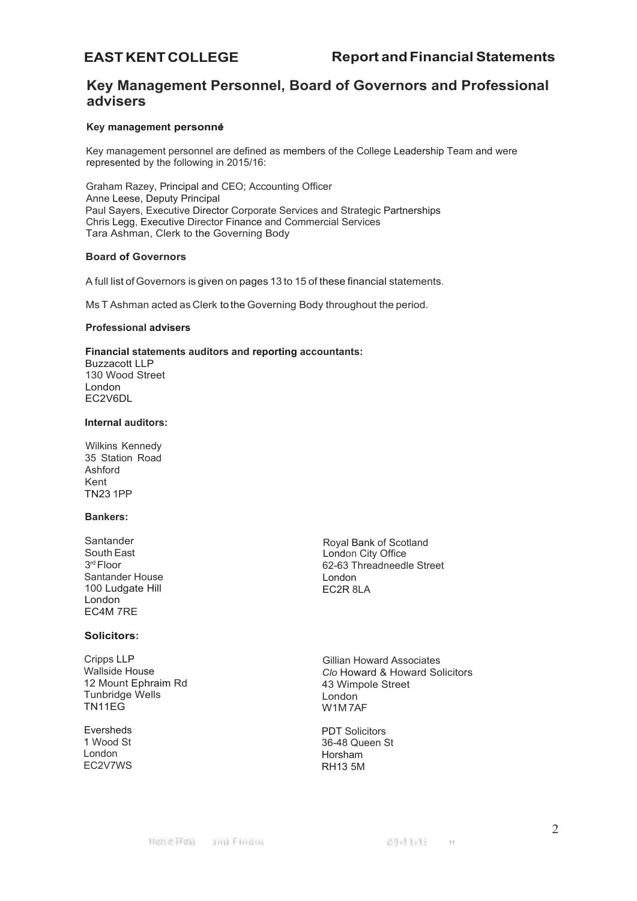# **Key Management Personnel, Board of Governors and Professional advisers**

# **Key management personnel**

Key management personnel are defined as members of the College Leadership Team and were represented by the following in 2015/16:

Graham Razey, Principal and CEO; Accounting Officer Anne Leese, Deputy Principal Paul Sayers, Executive Director Corporate Services and Strategic Partnerships Chris Legg, Executive Director Finance and Commercial Services Tara Ashman, Clerk to the Governing Body

# **Board of Governors**

A full list of Governors is given on pages 13 to 15 of these financial statements.

Ms T Ashman acted as Clerk to the Governing Body throughout the period.

## **Professional advisers**

# **Financial statements auditors and reporting accountants:**

Buzzacott LLP 130 Wood Street London EC2V6DL

## **Internal auditors:**

Wilkins Kennedy 35 Station Road Ashford Kent TN23 1PP

# **Bankers:**

Santander South East 3<sup>rd</sup> Floor Santander House 100 Ludgate Hill London EC4M 7RE

# **Solicitors:**

Cripps LLP Wallside House 12 Mount Ephraim Rd Tunbridge Wells TN11EG

Eversheds 1 Wood St London EC2V7WS

Royal Bank of Scotland London City Office 62-63 Threadneedle Street London EC2R 8LA

Gillian Howard Associates *Clo* Howard & Howard Solicitors 43 Wimpole Street London W1M 7AF

PDT Solicitors 36-48 Queen St Horsham RH13 5M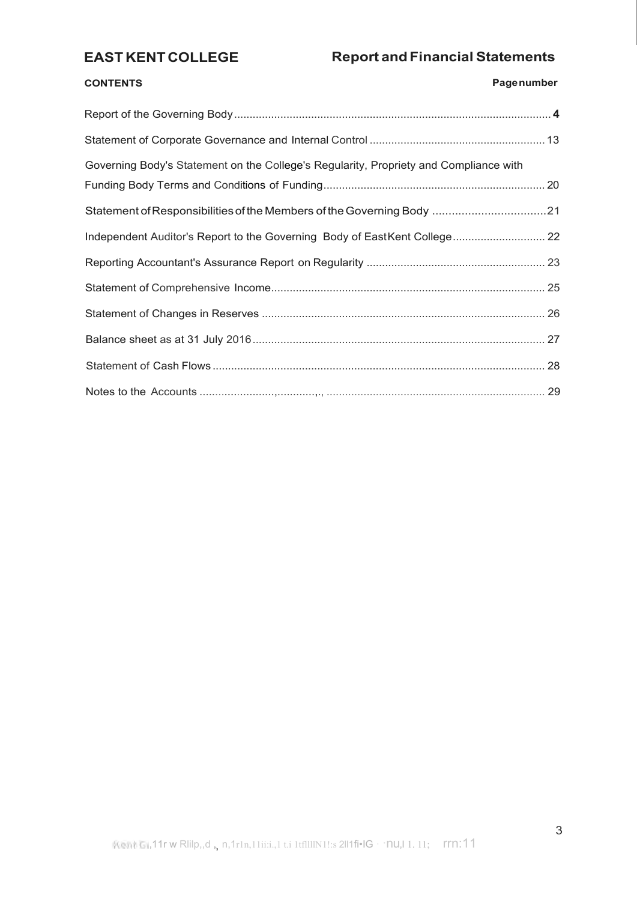# **CONTENTS Pagenumber**

| Governing Body's Statement on the College's Regularity, Propriety and Compliance with |  |
|---------------------------------------------------------------------------------------|--|
| Statement of Responsibilities of the Members of the Governing Body 21                 |  |
| Independent Auditor's Report to the Governing Body of EastKent College 22             |  |
|                                                                                       |  |
|                                                                                       |  |
|                                                                                       |  |
|                                                                                       |  |
|                                                                                       |  |
|                                                                                       |  |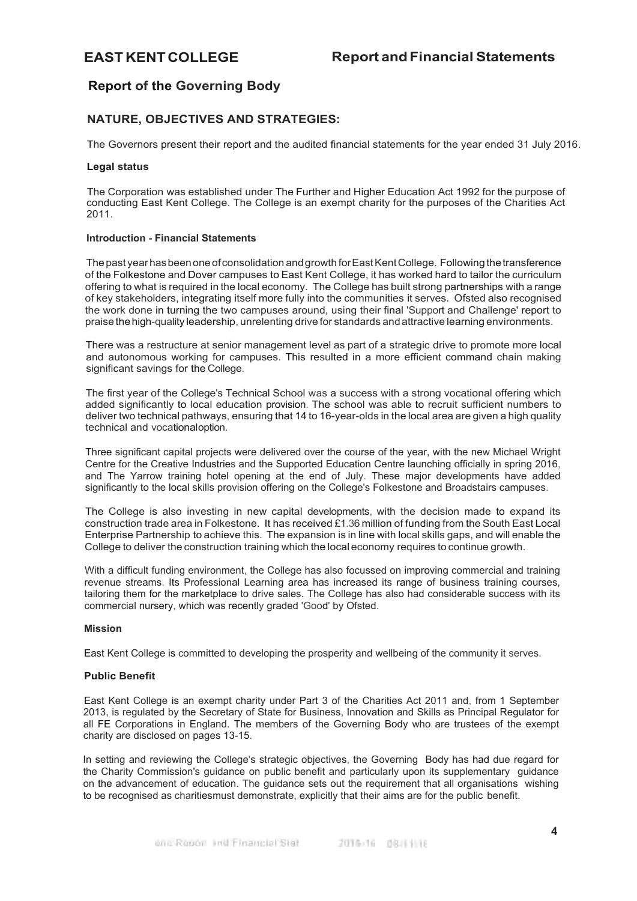# <span id="page-3-0"></span>**Report of the Governing Body**

# **NATURE, OBJECTIVES AND STRATEGIES:**

The Governors present their report and the audited financial statements for the year ended 31 July 2016.

# **Legal status**

The Corporation was established under The Further and Higher Education Act 1992 for the purpose of conducting East Kent College. The College is an exempt charity for the purposes of the Charities Act 2011.

# **Introduction - Financial Statements**

Thepast yearhasbeenoneofconsolidation andgrowth forEastKentCollege. Following thetransference of the Folkestone and Dover campuses to East Kent College, it has worked hard to tailor the curriculum offering to what is required in the local economy. The College has built strong partnerships with a range of key stakeholders, integrating itself more fully into the communities it serves. Ofsted also recognised the work done in turning the two campuses around, using their final 'Support and Challenge' report to praise thehigh-quality leadership, unrelenting drive for standards andattractive learning environments.

There was a restructure at senior management level as part of a strategic drive to promote more local and autonomous working for campuses. This resulted in a more efficient command chain making significant savings for the College.

The first year of the College's Technical School was a success with a strong vocational offering which added significantly to local education provision. The school was able to recruit sufficient numbers to deliver two technical pathways, ensuring that 14 to 16-year-olds in the local area are given a high quality technical and vocationaloption.

Three significant capital projects were delivered over the course of the year, with the new Michael Wright Centre for the Creative Industries and the Supported Education Centre launching officially in spring 2016, and The Yarrow training hotel opening at the end of July. These major developments have added significantly to the local skills provision offering on the College's Folkestone and Broadstairs campuses.

The College is also investing in new capital developments, with the decision made to expand its construction trade area in Folkestone. It has received £1.36 million of funding from the South East Local Enterprise Partnership to achieve this. The expansion is in line with local skills gaps, and will enable the College to deliver the construction training which the local economy requires to continue growth.

With a difficult funding environment, the College has also focussed on improving commercial and training revenue streams. Its Professional Learning area has increased its range of business training courses, tailoring them for the marketplace to drive sales. The College has also had considerable success with its commercial nursery, which was recently graded 'Good' by Ofsted.

# **Mission**

East Kent College is committed to developing the prosperity and wellbeing of the community it serves.

# **Public Benefit**

East Kent College is an exempt charity under Part 3 of the Charities Act 2011 and, from 1 September 2013, is regulated by the Secretary of State for Business, Innovation and Skills as Principal Regulator for all FE Corporations in England. The members of the Governing Body who are trustees of the exempt charity are disclosed on pages 13-15.

In setting and reviewing the College's strategic objectives, the Governing Body has had due regard for the Charity Commission's guidance on public benefit and particularly upon its supplementary guidance on the advancement of education. The guidance sets out the requirement that all organisations wishing to be recognised as charitiesmust demonstrate, explicitly that their aims are for the public benefit.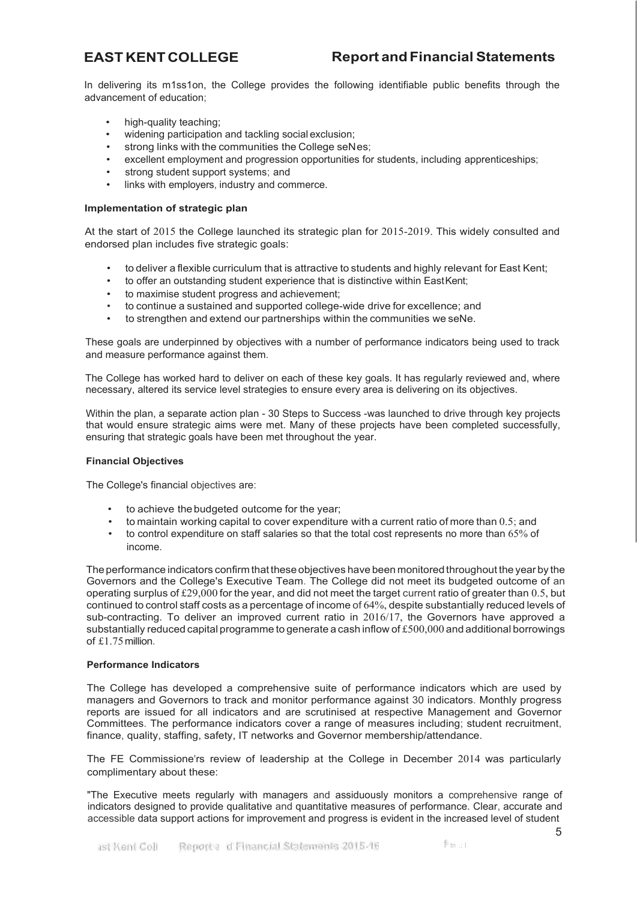In delivering its m1ss1on, the College provides the following identifiable public benefits through the advancement of education;

- high-quality teaching;
- widening participation and tackling social exclusion;
- strong links with the communities the College seNes;
- excellent employment and progression opportunities for students, including apprenticeships;
- strong student support systems; and
- links with employers, industry and commerce.

# **Implementation of strategic plan**

At the start of 2015 the College launched its strategic plan for 2015-2019. This widely consulted and endorsed plan includes five strategic goals:

- to deliver a flexible curriculum that is attractive to students and highly relevant for East Kent;
- to offer an outstanding student experience that is distinctive within EastKent;
- to maximise student progress and achievement;
- to continue a sustained and supported college-wide drive for excellence; and
- to strengthen and extend our partnerships within the communities we seNe.

These goals are underpinned by objectives with a number of performance indicators being used to track and measure performance against them.

The College has worked hard to deliver on each of these key goals. It has regularly reviewed and, where necessary, altered its service level strategies to ensure every area is delivering on its objectives.

Within the plan, a separate action plan - 30 Steps to Success -was launched to drive through key projects that would ensure strategic aims were met. Many of these projects have been completed successfully, ensuring that strategic goals have been met throughout the year.

# **Financial Objectives**

The College's financial objectives are:

- to achieve the budgeted outcome for the year;
- to maintain working capital to cover expenditure with a current ratio of more than 0.5; and
- to control expenditure on staff salaries so that the total cost represents no more than 65% of income.

The performance indicators confirm that these objectives have been monitored throughout the year by the Governors and the College's Executive Team. The College did not meet its budgeted outcome of an operating surplus of £29,000 for the year, and did not meet the target current ratio of greater than 0.5, but continued to control staff costs as a percentage of income of 64%, despite substantially reduced levels of sub-contracting. To deliver an improved current ratio in 2016/17, the Governors have approved a substantially reduced capital programme to generate a cash inflow of  $£500,000$  and additional borrowings of £1.75million.

# **Performance Indicators**

The College has developed a comprehensive suite of performance indicators which are used by managers and Governors to track and monitor performance against 30 indicators. Monthly progress reports are issued for all indicators and are scrutinised at respective Management and Governor Committees. The performance indicators cover a range of measures including; student recruitment, finance, quality, staffing, safety, IT networks and Governor membership/attendance.

The FE Commissione'rs review of leadership at the College in December 2014 was particularly complimentary about these:

"The Executive meets regularly with managers and assiduously monitors a comprehensive range of indicators designed to provide qualitative and quantitative measures of performance. Clear, accurate and accessible data support actions for improvement and progress is evident in the increased level of student

 $1^6$  tn  $\therefore$  I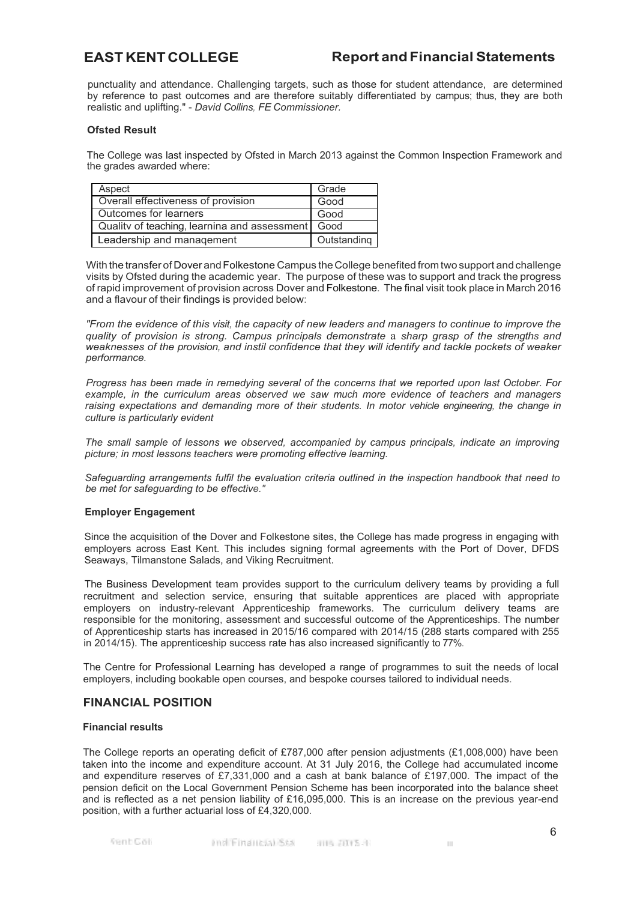punctuality and attendance. Challenging targets, such as those for student attendance, are determined by reference to past outcomes and are therefore suitably differentiated by campus; thus, they are both realistic and uplifting." - *David Collins, FE Commissioner.*

# **Ofsted Result**

The College was last inspected by Ofsted in March 2013 against the Common Inspection Framework and the grades awarded where:

| Aspect                                            | Grade       |
|---------------------------------------------------|-------------|
| Overall effectiveness of provision                | Good        |
| Outcomes for learners                             | Good        |
| Quality of teaching, learning and assessment Good |             |
| Leadership and management                         | Outstanding |

With the transfer of Dover and Folkestone Campus the College benefited from two support and challenge visits by Ofsted during the academic year. The purpose of these was to support and track the progress of rapid improvement of provision across Dover and Folkestone. The final visit took place in March 2016 and a flavour of their findings is provided below:

*"From the evidence of this visit, the capacity of new leaders and managers to continue to improve the quality of provision is strong. Campus principals demonstrate* a *sharp grasp of the strengths and weaknesses of the provision, and instil confidence that they will identify and tackle pockets of weaker performance.*

*Progress has been made in remedying several of the concerns that we reported upon last October. For example, in the curriculum areas observed we saw much more evidence of teachers and managers raising expectations and demanding more of their students. In motor vehicle engineering, the change in culture is particularly evident*

*The small sample of lessons we observed, accompanied by campus principals, indicate an improving picture; in most lessons teachers were promoting effective learning.*

*Safeguarding arrangements fulfil the evaluation criteria outlined in the inspection handbook that need to be met for safeguarding to be effective."*

## **Employer Engagement**

Since the acquisition of the Dover and Folkestone sites, the College has made progress in engaging with employers across East Kent. This includes signing formal agreements with the Port of Dover, DFDS Seaways, Tilmanstone Salads, and Viking Recruitment.

The Business Development team provides support to the curriculum delivery teams by providing a full recruitment and selection service, ensuring that suitable apprentices are placed with appropriate employers on industry-relevant Apprenticeship frameworks. The curriculum delivery teams are responsible for the monitoring, assessment and successful outcome of the Apprenticeships. The number of Apprenticeship starts has increased in 2015/16 compared with 2014/15 (288 starts compared with 255 in 2014/15). The apprenticeship success rate has also increased significantly to 77%.

The Centre for Professional Learning has developed a range of programmes to suit the needs of local employers, including bookable open courses, and bespoke courses tailored to individual needs.

# **FINANCIAL POSITION**

## **Financial results**

The College reports an operating deficit of £787,000 after pension adjustments (£1,008,000) have been taken into the income and expenditure account. At 31 July 2016, the College had accumulated income and expenditure reserves of £7,331,000 and a cash at bank balance of £197,000. The impact of the pension deficit on the Local Government Pension Scheme has been incorporated into the balance sheet and is reflected as a net pension liability of £16,095,000. This is an increase on the previous year-end position, with a further actuarial loss of £4,320,000.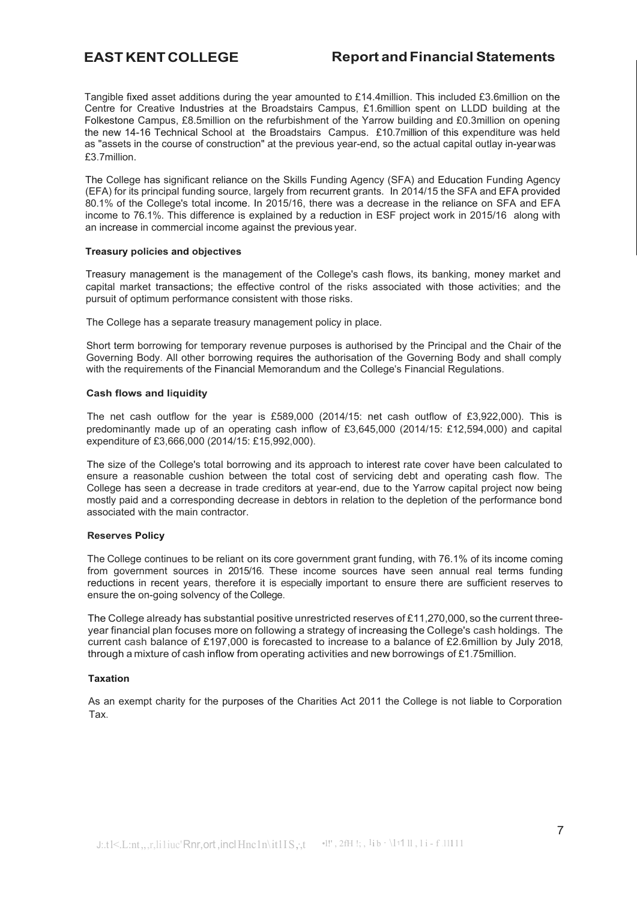Tangible fixed asset additions during the year amounted to £14.4million. This included £3.6million on the Centre for Creative Industries at the Broadstairs Campus, £1.6million spent on LLDD building at the Folkestone Campus, £8.5million on the refurbishment of the Yarrow building and £0.3million on opening the new 14-16 Technical School at the Broadstairs Campus. £10.7million of this expenditure was held as "assets in the course of construction" at the previous year-end, so the actual capital outlay in-year was £3.7million.

The College has significant reliance on the Skills Funding Agency (SFA) and Education Funding Agency (EFA) for its principal funding source, largely from recurrent grants. In 2014/15 the SFA and EFA provided 80.1% of the College's total income. In 2015/16, there was a decrease in the reliance on SFA and EFA income to 76.1%. This difference is explained by a reduction in ESF project work in 2015/16 along with an increase in commercial income against the previous year.

## **Treasury policies and objectives**

Treasury management is the management of the College's cash flows, its banking, money market and capital market transactions; the effective control of the risks associated with those activities; and the pursuit of optimum performance consistent with those risks.

The College has a separate treasury management policy in place.

Short term borrowing for temporary revenue purposes is authorised by the Principal and the Chair of the Governing Body. All other borrowing requires the authorisation of the Governing Body and shall comply with the requirements of the Financial Memorandum and the College's Financial Regulations.

## **Cash flows and liquidity**

The net cash outflow for the year is £589,000 (2014/15: net cash outflow of £3,922,000). This is predominantly made up of an operating cash inflow of £3,645,000 (2014/15: £12,594,000) and capital expenditure of £3,666,000 (2014/15: £15,992,000).

The size of the College's total borrowing and its approach to interest rate cover have been calculated to ensure a reasonable cushion between the total cost of servicing debt and operating cash flow. The College has seen a decrease in trade creditors at year-end, due to the Yarrow capital project now being mostly paid and a corresponding decrease in debtors in relation to the depletion of the performance bond associated with the main contractor.

# **Reserves Policy**

The College continues to be reliant on its core government grant funding, with 76.1% of its income coming from government sources in 2015/16. These income sources have seen annual real terms funding reductions in recent years, therefore it is especially important to ensure there are sufficient reserves to ensure the on-going solvency of the College.

The College already has substantial positive unrestricted reserves of £11,270,000, so the current threeyear financial plan focuses more on following a strategy of increasing the College's cash holdings. The current cash balance of £197,000 is forecasted to increase to a balance of £2.6million by July 2018, through a mixture of cash inflow from operating activities and new borrowings of £1.75million.

## **Taxation**

As an exempt charity for the purposes of the Charities Act 2011 the College is not liable to Corporation Tax.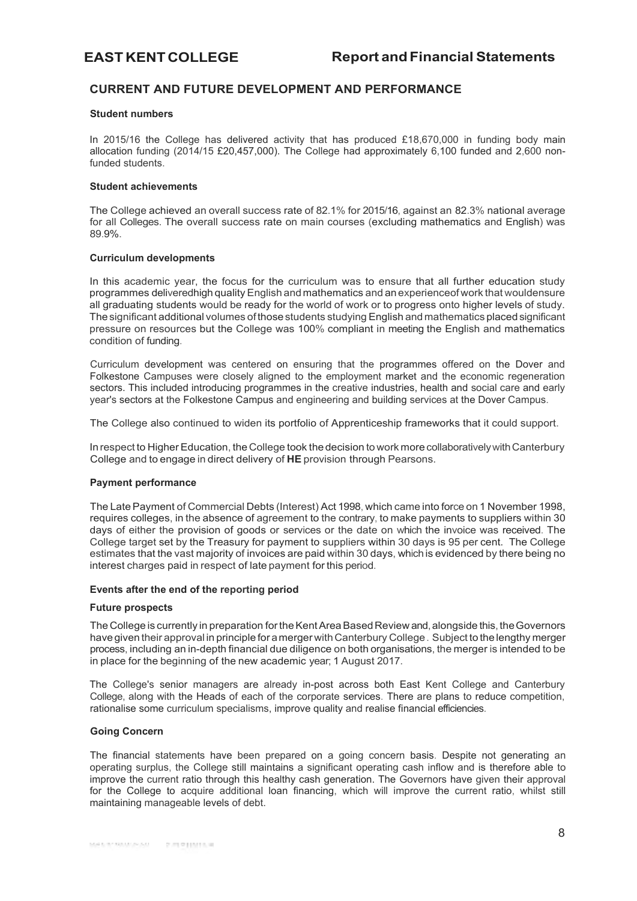# **CURRENT AND FUTURE DEVELOPMENT AND PERFORMANCE**

## **Student numbers**

In 2015/16 the College has delivered activity that has produced £18,670,000 in funding body main allocation funding (2014/15 £20,457,000). The College had approximately 6,100 funded and 2,600 nonfunded students.

## **Student achievements**

The College achieved an overall success rate of 82.1% for 2015/16, against an 82.3% national average for all Colleges. The overall success rate on main courses (excluding mathematics and English) was 89.9%.

## **Curriculum developments**

In this academic year, the focus for the curriculum was to ensure that all further education study programmes deliveredhigh quality English andmathematics and anexperienceof work that wouldensure all graduating students would be ready for the world of work or to progress onto higher levels of study. Thesignificant additional volumes ofthosestudents studying English and mathematics placed significant pressure on resources but the College was 100% compliant in meeting the English and mathematics condition of funding.

Curriculum development was centered on ensuring that the programmes offered on the Dover and Folkestone Campuses were closely aligned to the employment market and the economic regeneration sectors. This included introducing programmes in the creative industries, health and social care and early year's sectors at the Folkestone Campus and engineering and building services at the Dover Campus.

The College also continued to widen its portfolio of Apprenticeship frameworks that it could support.

In respect to Higher Education, the College took the decision to work more collaboratively with Canterbury College and to engage in direct delivery of **HE** provision through Pearsons.

## **Payment performance**

The Late Payment of Commercial Debts (Interest) Act 1998, which came into force on 1 November 1998, requires colleges, in the absence of agreement to the contrary, to make payments to suppliers within 30 days of either the provision of goods or services or the date on which the invoice was received. The College target set by the Treasury for payment to suppliers within 30 days is 95 per cent. The College estimates that the vast majority of invoices are paid within 30 days, which is evidenced by there being no interest charges paid in respect of late payment for this period.

## **Events after the end of the reporting period**

## **Future prospects**

TheCollege is currently in preparation fortheKentAreaBasedReview and,alongside this, theGovernors have given their approval in principle for a merger with Canterbury College. Subject to the lengthy merger process, including an in-depth financial due diligence on both organisations, the merger is intended to be in place for the beginning of the new academic year; 1 August 2017.

The College's senior managers are already in-post across both East Kent College and Canterbury College, along with the Heads of each of the corporate services. There are plans to reduce competition, rationalise some curriculum specialisms, improve quality and realise financial efficiencies.

## **Going Concern**

The financial statements have been prepared on a going concern basis. Despite not generating an operating surplus, the College still maintains a significant operating cash inflow and is therefore able to improve the current ratio through this healthy cash generation. The Governors have given their approval for the College to acquire additional loan financing, which will improve the current ratio, whilst still maintaining manageable levels of debt.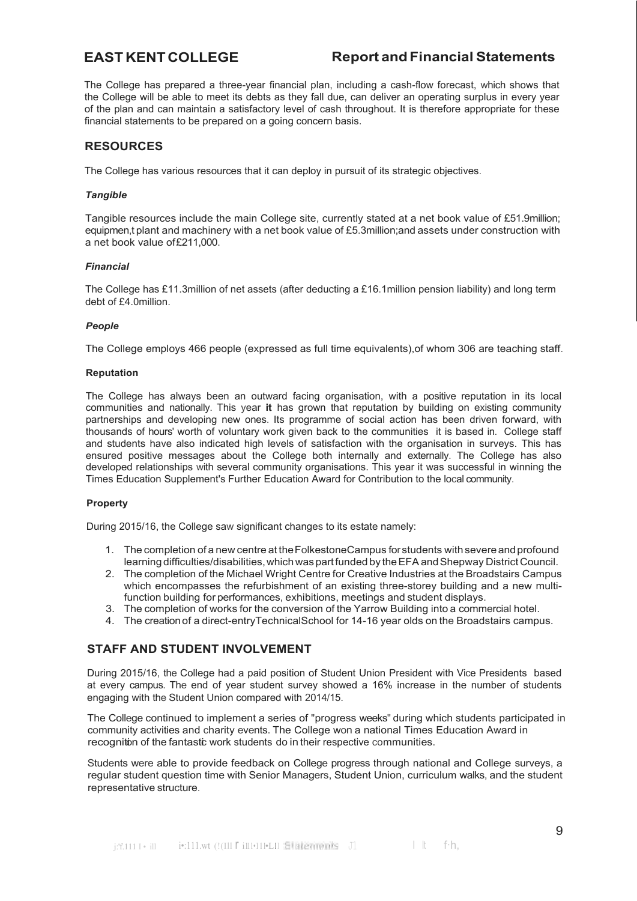The College has prepared a three-year financial plan, including a cash-flow forecast, which shows that the College will be able to meet its debts as they fall due, can deliver an operating surplus in every year of the plan and can maintain a satisfactory level of cash throughout. It is therefore appropriate for these financial statements to be prepared on a going concern basis.

# **RESOURCES**

The College has various resources that it can deploy in pursuit of its strategic objectives.

# *Tangible*

Tangible resources include the main College site, currently stated at a net book value of £51.9million; equipmen,t plant and machinery with a net book value of £5.3million;and assets under construction with a net book value of£211,000.

# *Financial*

The College has £11.3million of net assets (after deducting a £16.1million pension liability) and long term debt of £4.0million.

# *People*

The College employs 466 people (expressed as full time equivalents),of whom 306 are teaching staff.

# **Reputation**

The College has always been an outward facing organisation, with a positive reputation in its local communities and nationally. This year **it** has grown that reputation by building on existing community partnerships and developing new ones. Its programme of social action has been driven forward, with thousands of hours' worth of voluntary work given back to the communities it is based in. College staff and students have also indicated high levels of satisfaction with the organisation in surveys. This has ensured positive messages about the College both internally and externally. The College has also developed relationships with several community organisations. This year it was successful in winning the Times Education Supplement's Further Education Award for Contribution to the local community.

# **Property**

During 2015/16, the College saw significant changes to its estate namely:

- 1. The completion of a new centre at the FolkestoneCampus for students with severe and profound learning difficulties/disabilities, which was part funded by the EFA and Shepway District Council.
- 2. The completion of the Michael Wright Centre for Creative Industries at the Broadstairs Campus which encompasses the refurbishment of an existing three-storey building and a new multifunction building for performances, exhibitions, meetings and student displays.
- 3. The completion of works for the conversion of the Yarrow Building into a commercial hotel.
- 4. The creationof a direct-entryTechnicalSchool for 14-16 year olds on the Broadstairs campus.

# **STAFF AND STUDENT INVOLVEMENT**

During 2015/16, the College had a paid position of Student Union President with Vice Presidents based at every campus. The end of year student survey showed a 16% increase in the number of students engaging with the Student Union compared with 2014/15.

The College continued to implement a series of "progress weeks" during which students participated in community activities and charity events. The College won a national Times Education Award in recognition of the fantastic work students do in their respective communities.

Students were able to provide feedback on College progress through national and College surveys, a regular student question time with Senior Managers, Student Union, curriculum walks, and the student representative structure.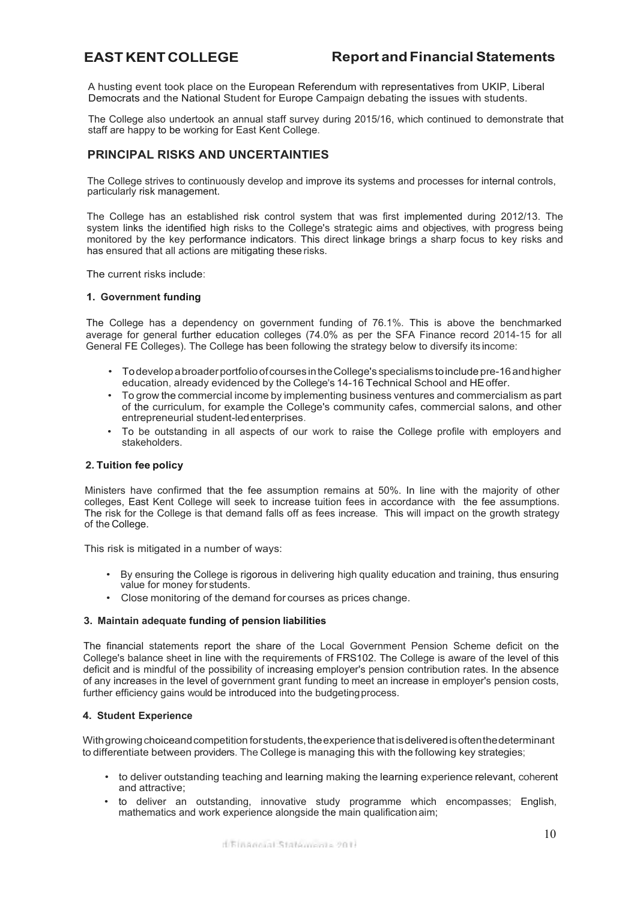A husting event took place on the European Referendum with representatives from UKIP, Liberal Democrats and the National Student for Europe Campaign debating the issues with students.

The College also undertook an annual staff survey during 2015/16, which continued to demonstrate that staff are happy to be working for East Kent College.

# **PRINCIPAL RISKS AND UNCERTAINTIES**

The College strives to continuously develop and improve its systems and processes for internal controls, particularly risk management.

The College has an established risk control system that was first implemented during 2012/13. The system links the identified high risks to the College's strategic aims and objectives, with progress being monitored by the key performance indicators. This direct linkage brings a sharp focus to key risks and has ensured that all actions are mitigating these risks.

The current risks include:

## **1. Government funding**

The College has a dependency on government funding of 76.1%. This is above the benchmarked average for general further education colleges (74.0% as per the SFA Finance record 2014-15 for all General FE Colleges). The College has been following the strategy below to diversify its income:

- Todevelop abroaderportfolioofcourses intheCollege's specialisms toincludepre-16andhigher education, already evidenced by the College's 14-16 Technical School and HEoffer.
- To grow the commercial income by implementing business ventures and commercialism as part of the curriculum, for example the College's community cafes, commercial salons, and other entrepreneurial student-ledenterprises.
- To be outstanding in all aspects of our work to raise the College profile with employers and stakeholders.

# **2. Tuition fee policy**

Ministers have confirmed that the fee assumption remains at 50%. In line with the majority of other colleges, East Kent College will seek to increase tuition fees in accordance with the fee assumptions. The risk for the College is that demand falls off as fees increase. This will impact on the growth strategy of the College.

This risk is mitigated in a number of ways:

- By ensuring the College is rigorous in delivering high quality education and training, thus ensuring value for money for students.
- Close monitoring of the demand for courses as prices change.

## **3. Maintain adequate funding of pension liabilities**

The financial statements report the share of the Local Government Pension Scheme deficit on the College's balance sheet in line with the requirements of FRS102. The College is aware of the level of this deficit and is mindful of the possibility of increasing employer's pension contribution rates. In the absence of any increases in the level of government grant funding to meet an increase in employer's pension costs, further efficiency gains would be introduced into the budgetingprocess.

# **4. Student Experience**

With growing choiceand competition for students, the experience that is delivered is often the determinant to differentiate between providers. The College is managing this with the following key strategies;

- to deliver outstanding teaching and learning making the learning experience relevant, coherent and attractive;
- to deliver an outstanding, innovative study programme which encompasses; English, mathematics and work experience alongside the main qualificationaim;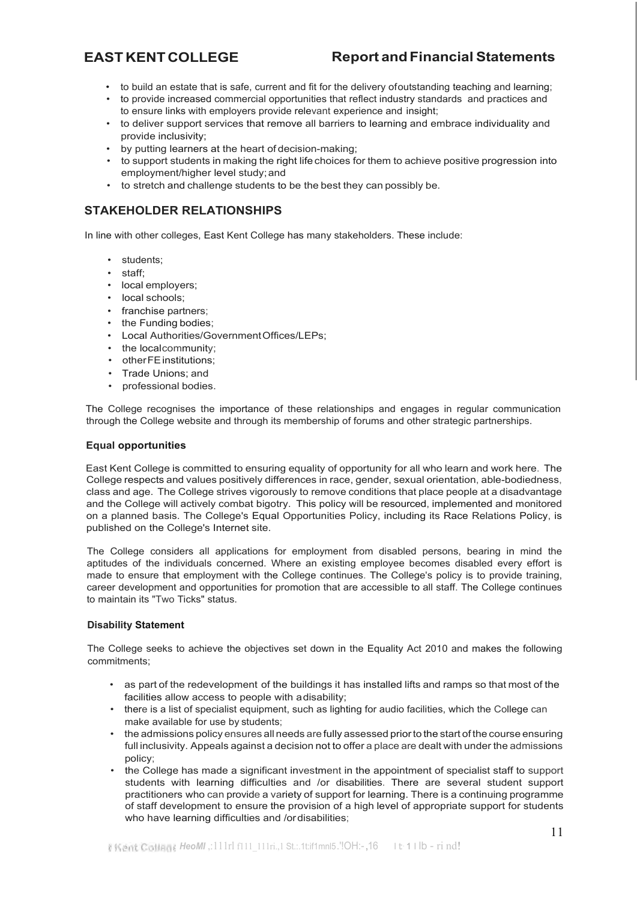- to build an estate that is safe, current and fit for the delivery ofoutstanding teaching and learning;
- to provide increased commercial opportunities that reflect industry standards and practices and to ensure links with employers provide relevant experience and insight;
- to deliver support services that remove all barriers to learning and embrace individuality and provide inclusivity;
- by putting learners at the heart of decision-making;
- to support students in making the right life choices for them to achieve positive progression into employment/higher level study;and
- to stretch and challenge students to be the best they can possibly be.

# **STAKEHOLDER RELATIONSHIPS**

In line with other colleges, East Kent College has many stakeholders. These include:

- students;
- staff;
- local employers;
- local schools:
- franchise partners;
- the Funding bodies;
- Local Authorities/GovernmentOffices/LEPs;
- the localcommunity;
- otherFE institutions:
- Trade Unions; and
- professional bodies.

The College recognises the importance of these relationships and engages in regular communication through the College website and through its membership of forums and other strategic partnerships.

## **Equal opportunities**

East Kent College is committed to ensuring equality of opportunity for all who learn and work here. The College respects and values positively differences in race, gender, sexual orientation, able-bodiedness, class and age. The College strives vigorously to remove conditions that place people at a disadvantage and the College will actively combat bigotry. This policy will be resourced, implemented and monitored on a planned basis. The College's Equal Opportunities Policy, including its Race Relations Policy, is published on the College's Internet site.

The College considers all applications for employment from disabled persons, bearing in mind the aptitudes of the individuals concerned. Where an existing employee becomes disabled every effort is made to ensure that employment with the College continues. The College's policy is to provide training, career development and opportunities for promotion that are accessible to all staff. The College continues to maintain its "Two Ticks" status.

# **Disability Statement**

The College seeks to achieve the objectives set down in the Equality Act 2010 and makes the following commitments;

- as part of the redevelopment of the buildings it has installed lifts and ramps so that most of the facilities allow access to people with adisability;
- there is a list of specialist equipment, such as lighting for audio facilities, which the College can make available for use by students;
- the admissions policy ensures all needs are fully assessed priorto the start of the course ensuring full inclusivity. Appeals against a decision not to offer a place are dealt with under the admissions policy;
- the College has made a significant investment in the appointment of specialist staff to support students with learning difficulties and /or disabilities. There are several student support practitioners who can provide a variety of support for learning. There is a continuing programme of staff development to ensure the provision of a high level of appropriate support for students who have learning difficulties and /ordisabilities;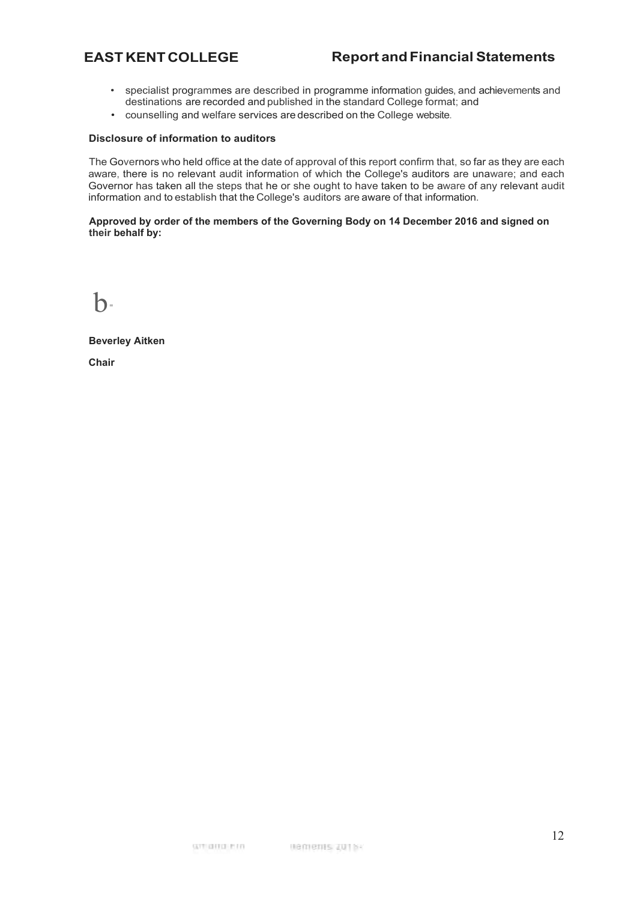- specialist programmes are described in programme information guides, and achievements and destinations are recorded and published in the standard College format; and
- counselling and welfare services are described on the College website.

# **Disclosure of information to auditors**

The Governors who held office at the date of approval of this report confirm that, so far as they are each aware, there is no relevant audit information of which the College's auditors are unaware; and each Governor has taken all the steps that he or she ought to have taken to be aware of any relevant audit information and to establish that the College's auditors are aware of that information.

# **Approved by order of the members of the Governing Body on 14 December 2016 and signed on their behalf by:**

 $\mathbf{b}$ 

**Beverley Aitken** 

**Chair**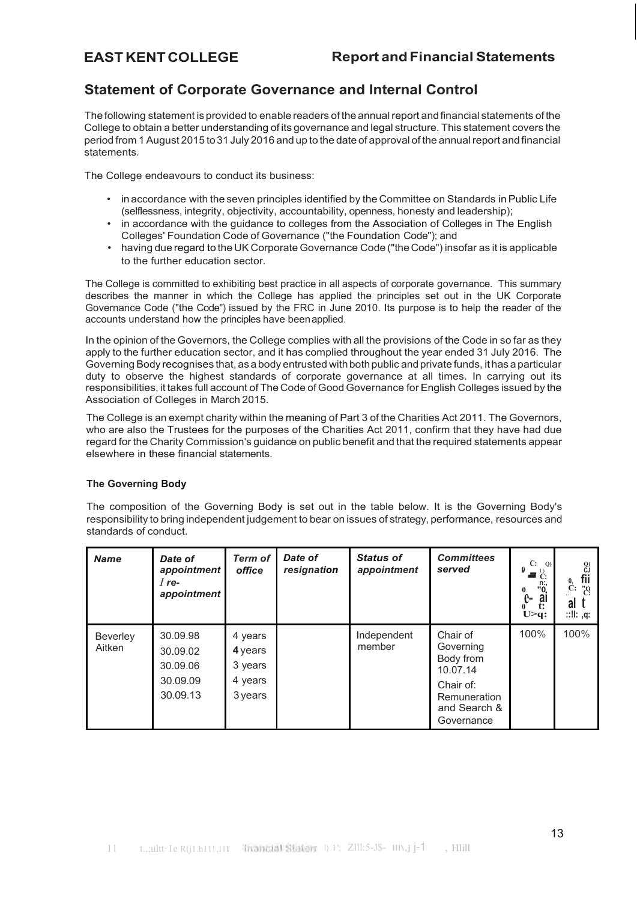# <span id="page-12-0"></span>**Statement of Corporate Governance and Internal Control**

The following statement is provided to enable readers of the annualreport andfinancial statements of the College to obtain a better understanding of its governance and legal structure. This statement covers the period from 1 August 2015 to31 July 2016 and up to the date of approval of the annualreport and financial statements.

The College endeavours to conduct its business:

- in accordance with the seven principles identified by the Committee on Standards inPublic Life (selflessness, integrity, objectivity, accountability, openness, honesty and leadership);
- in accordance with the guidance to colleges from the Association of Colleges in The English Colleges' Foundation Code of Governance ("the Foundation Code"); and
- having due regard to the UK Corporate Governance Code ("the Code") insofar as it is applicable to the further education sector.

The College is committed to exhibiting best practice in all aspects of corporate governance. This summary describes the manner in which the College has applied the principles set out in the UK Corporate Governance Code ("the Code") issued by the FRC in June 2010. Its purpose is to help the reader of the accounts understand how the principles have beenapplied.

In the opinion of the Governors, the College complies with all the provisions of the Code in so far as they apply to the further education sector, and it has complied throughout the year ended 31 July 2016. The Governing Body recognises that, as a body entrusted with both public and private funds, it has a particular duty to observe the highest standards of corporate governance at all times. In carrying out its responsibilities, it takes full account of The Code of Good Governance for English Colleges issued by the Association of Colleges in March 2015.

The College is an exempt charity within the meaning of Part 3 of the Charities Act 2011. The Governors, who are also the Trustees for the purposes of the Charities Act 2011, confirm that they have had due regard for the Charity Commission's guidance on public benefit and that the required statements appear elsewhere in these financial statements.

# **The Governing Body**

The composition of the Governing Body is set out in the table below. It is the Governing Body's responsibility to bring independent judgement to bear on issues of strategy, performance, resources and standards of conduct.

| <b>Name</b>        | Date of<br>appointment<br>$I$ re-<br>appointment         | <b>Term of</b><br>office                            | Date of<br>resignation | <b>Status of</b><br>appointment | <b>Committees</b><br>served                                                                               | C: Q<br>0<br>$\blacksquare$ <sup>L.)</sup> .<br>$\cdot \cdot \cdot$ <sup>n:</sup> ,<br>$\bf{0}$<br>$\mathbf{e}$<br>ai<br>t:<br>$U > q$ : | $^{(2)}_{cJ}$<br>fii<br>$\mathbf{C}$ :<br>$\ddot{c}$<br>al<br>:!!: .q: |
|--------------------|----------------------------------------------------------|-----------------------------------------------------|------------------------|---------------------------------|-----------------------------------------------------------------------------------------------------------|------------------------------------------------------------------------------------------------------------------------------------------|------------------------------------------------------------------------|
| Beverley<br>Aitken | 30.09.98<br>30.09.02<br>30.09.06<br>30.09.09<br>30.09.13 | 4 years<br>4 years<br>3 years<br>4 years<br>3 years |                        | Independent<br>member           | Chair of<br>Governing<br>Body from<br>10.07.14<br>Chair of:<br>Remuneration<br>and Search &<br>Governance | 100%                                                                                                                                     | 100%                                                                   |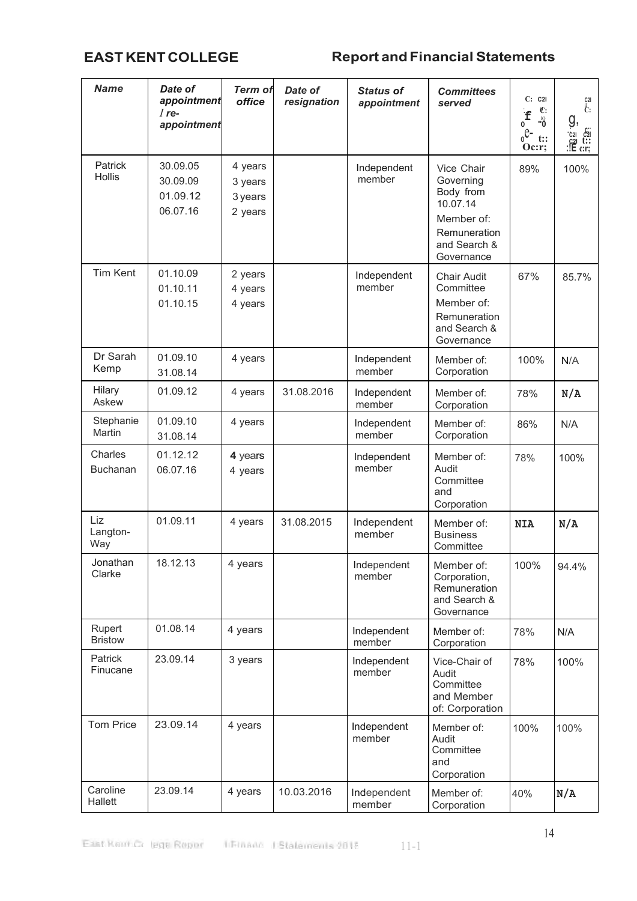| <b>Name</b>                | Date of<br>appointment<br>$I$ re-<br>appointment | <b>Term of</b><br>office                 | Date of<br>resignation | <b>Status of</b><br>appointment | <b>Committees</b><br>served                                                                                  | C: C2I<br>C:<br>$\int_{0}^{1}$<br><sup>01</sup><br>$e^{\theta}$<br>t::<br>Oc: r; | C2I<br>ŀ.<br>g,<br>င်း၊<br>t::<br>$\begin{array}{ll}\n\text{c}_{21} & \text{c}_{21} \\ \text{c}_{21} & \text{t} \\ \text{c}_{21} & \text{t} \\ \text{c}_{31} & \text{c}_{32}\n\end{array}$ |
|----------------------------|--------------------------------------------------|------------------------------------------|------------------------|---------------------------------|--------------------------------------------------------------------------------------------------------------|----------------------------------------------------------------------------------|--------------------------------------------------------------------------------------------------------------------------------------------------------------------------------------------|
| Patrick<br>Hollis          | 30.09.05<br>30.09.09<br>01.09.12<br>06.07.16     | 4 years<br>3 years<br>3 years<br>2 years |                        | Independent<br>member           | Vice Chair<br>Governing<br>Body from<br>10.07.14<br>Member of:<br>Remuneration<br>and Search &<br>Governance | 89%                                                                              | 100%                                                                                                                                                                                       |
| <b>Tim Kent</b>            | 01.10.09<br>01.10.11<br>01.10.15                 | 2 years<br>4 years<br>4 years            |                        | Independent<br>member           | <b>Chair Audit</b><br>Committee<br>Member of:<br>Remuneration<br>and Search &<br>Governance                  | 67%                                                                              | 85.7%                                                                                                                                                                                      |
| Dr Sarah<br>Kemp           | 01.09.10<br>31.08.14                             | 4 years                                  |                        | Independent<br>member           | Member of:<br>Corporation                                                                                    | 100%                                                                             | N/A                                                                                                                                                                                        |
| Hilary<br>Askew            | 01.09.12                                         | 4 years                                  | 31.08.2016             | Independent<br>member           | Member of:<br>Corporation                                                                                    | 78%                                                                              | N/A                                                                                                                                                                                        |
| Stephanie<br>Martin        | 01.09.10<br>31.08.14                             | 4 years                                  |                        | Independent<br>member           | Member of:<br>Corporation                                                                                    | 86%                                                                              | N/A                                                                                                                                                                                        |
| Charles<br><b>Buchanan</b> | 01.12.12<br>06.07.16                             | 4 years<br>4 years                       |                        | Independent<br>member           | Member of:<br>Audit<br>Committee<br>and<br>Corporation                                                       | 78%                                                                              | 100%                                                                                                                                                                                       |
| Liz<br>Langton-<br>Way     | 01.09.11                                         | 4 years                                  | 31.08.2015             | Independent<br>member           | Member of:<br><b>Business</b><br>Committee                                                                   | <b>NIA</b>                                                                       | N/A                                                                                                                                                                                        |
| Jonathan<br>Clarke         | 18.12.13                                         | 4 years                                  |                        | Independent<br>member           | Member of:<br>Corporation,<br>Remuneration<br>and Search &<br>Governance                                     | 100%                                                                             | 94.4%                                                                                                                                                                                      |
| Rupert<br><b>Bristow</b>   | 01.08.14                                         | 4 years                                  |                        | Independent<br>member           | Member of:<br>Corporation                                                                                    | 78%                                                                              | N/A                                                                                                                                                                                        |
| Patrick<br>Finucane        | 23.09.14                                         | 3 years                                  |                        | Independent<br>member           | Vice-Chair of<br>Audit<br>Committee<br>and Member<br>of: Corporation                                         | 78%                                                                              | 100%                                                                                                                                                                                       |
| <b>Tom Price</b>           | 23.09.14                                         | 4 years                                  |                        | Independent<br>member           | Member of:<br>Audit<br>Committee<br>and<br>Corporation                                                       | 100%                                                                             | 100%                                                                                                                                                                                       |
| Caroline<br>Hallett        | 23.09.14                                         | 4 years                                  | 10.03.2016             | Independent<br>member           | Member of:<br>Corporation                                                                                    | 40%                                                                              | N/A                                                                                                                                                                                        |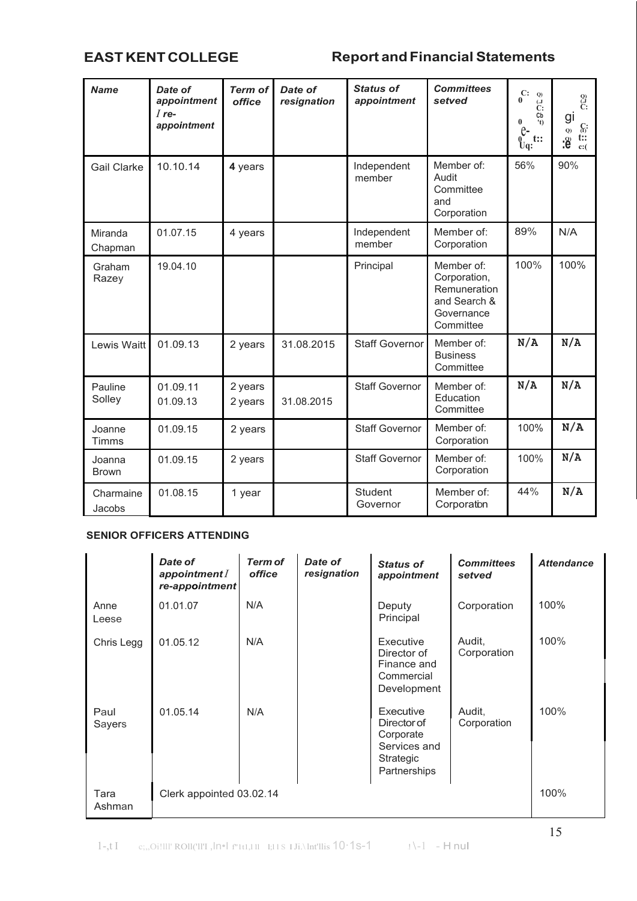| <b>Name</b>            | Date of<br>appointment<br>$I$ re-<br>appointment | <b>Term of</b><br>office | Date of<br>resignation | <b>Status of</b><br>appointment | <b>Committees</b><br>setved                                                           | C:<br>Q<br>0<br>$\mathbf{L}$ .)<br>$\ddot{C}$ :<br>Cb<br>$\bf{0}$<br>'t)<br>$\mathrm{e}$<br>$\tilde{\mathbf{y}}_{\mathbf{q}}$ :<br>t:: | $\overset{Q)}{\overset{G}{C}}$<br>gı<br>$\int_{(I)}$<br>$\mathbf{Q})$<br>$\ddot{\mathbf{t}}$<br>$\mathbf{9}$<br>c:( |
|------------------------|--------------------------------------------------|--------------------------|------------------------|---------------------------------|---------------------------------------------------------------------------------------|----------------------------------------------------------------------------------------------------------------------------------------|---------------------------------------------------------------------------------------------------------------------|
| <b>Gail Clarke</b>     | 10.10.14                                         | 4 years                  |                        | Independent<br>member           | Member of:<br>Audit<br>Committee<br>and<br>Corporation                                | 56%                                                                                                                                    | 90%                                                                                                                 |
| Miranda<br>Chapman     | 01.07.15                                         | 4 years                  |                        | Independent<br>member           | Member of:<br>Corporation                                                             | 89%                                                                                                                                    | N/A                                                                                                                 |
| Graham<br>Razey        | 19.04.10                                         |                          |                        | Principal                       | Member of:<br>Corporation,<br>Remuneration<br>and Search &<br>Governance<br>Committee | 100%                                                                                                                                   | 100%                                                                                                                |
| Lewis Waitt            | 01.09.13                                         | 2 years                  | 31.08.2015             | <b>Staff Governor</b>           | Member of:<br><b>Business</b><br>Committee                                            | N/A                                                                                                                                    | N/A                                                                                                                 |
| Pauline<br>Solley      | 01.09.11<br>01.09.13                             | 2 years<br>2 years       | 31.08.2015             | <b>Staff Governor</b>           | Member of:<br>Education<br>Committee                                                  | N/A                                                                                                                                    | N/A                                                                                                                 |
| Joanne<br>Timms        | 01.09.15                                         | 2 years                  |                        | <b>Staff Governor</b>           | Member of:<br>Corporation                                                             | 100%                                                                                                                                   | N/A                                                                                                                 |
| Joanna<br><b>Brown</b> | 01.09.15                                         | 2 years                  |                        | <b>Staff Governor</b>           | Member of:<br>Corporation                                                             | 100%                                                                                                                                   | N/A                                                                                                                 |
| Charmaine<br>Jacobs    | 01.08.15                                         | 1 year                   |                        | <b>Student</b><br>Governor      | Member of:<br>Corporation                                                             | 44%                                                                                                                                    | N/A                                                                                                                 |

# **SENIOR OFFICERS ATTENDING**

|                | Date of<br>appointment I<br>re-appointment | <b>Term of</b><br>office | Date of<br>resignation | <b>Status of</b><br>appointment                                                    | <b>Committees</b><br>setved | <b>Attendance</b> |
|----------------|--------------------------------------------|--------------------------|------------------------|------------------------------------------------------------------------------------|-----------------------------|-------------------|
| Anne<br>Leese  | 01.01.07                                   | N/A                      |                        | Deputy<br>Principal                                                                | Corporation                 | 100%              |
| Chris Legg     | 01.05.12                                   | N/A                      |                        | Executive<br>Director of<br>Finance and<br>Commercial<br>Development               | Audit,<br>Corporation       | 100%              |
| Paul<br>Sayers | 01.05.14                                   | N/A                      |                        | Executive<br>Director of<br>Corporate<br>Services and<br>Strategic<br>Partnerships | Audit,<br>Corporation       | 100%              |
| Tara<br>Ashman | Clerk appointed 03.02.14                   |                          |                        |                                                                                    |                             | 100%              |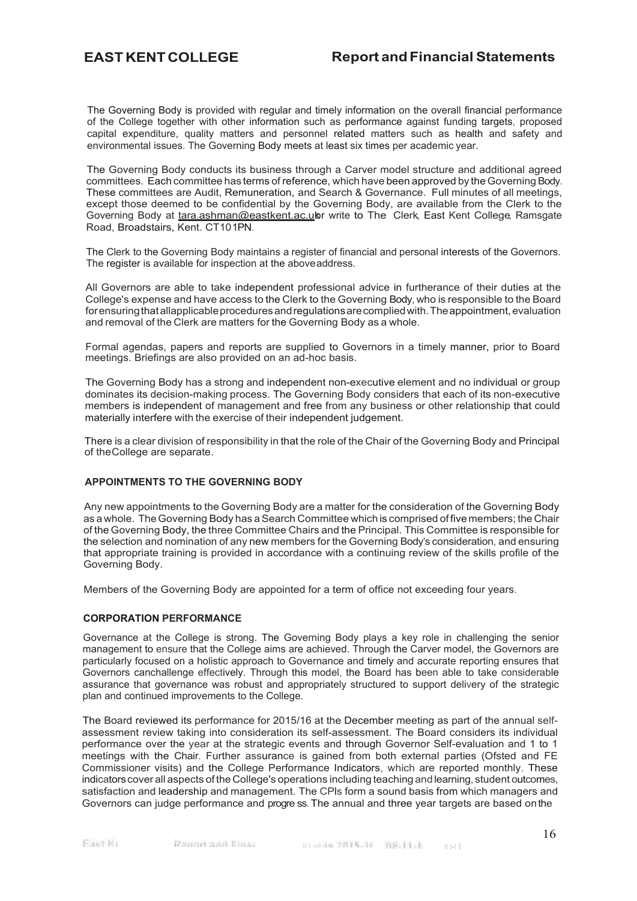The Governing Body is provided with regular and timely information on the overall financial performance of the College together with other information such as performance against funding targets, proposed capital expenditure, quality matters and personnel related matters such as health and safety and environmental issues. The Governing Body meets at least six times per academic year.

The Governing Body conducts its business through a Carver model structure and additional agreed committees. Each committee has terms of reference, which have been approved by theGoverning Body. These committees are Audit, Remuneration, and Search & Governance. Full minutes of all meetings, except those deemed to be confidential by the Governing Body, are available from the Clerk to the Governing Body at tara.ashman@eastkent.ac.ukr write to The Clerk, East Kent College, Ramsgate Road, Broadstairs, Kent. CT101PN.

The Clerk to the Governing Body maintains a register of financial and personal interests of the Governors. The register is available for inspection at the aboveaddress.

All Governors are able to take independent professional advice in furtherance of their duties at the College's expense and have access to the Clerk to the Governing Body, who is responsible to the Board for ensuring that allapplicable procedures and regulations are complied with. The appointment, evaluation and removal of the Clerk are matters for the Governing Body as a whole.

Formal agendas, papers and reports are supplied to Governors in a timely manner, prior to Board meetings. Briefings are also provided on an ad-hoc basis.

The Governing Body has a strong and independent non-executive element and no individual or group dominates its decision-making process. The Governing Body considers that each of its non-executive members is independent of management and free from any business or other relationship that could materially interfere with the exercise of their independent judgement.

There is a clear division of responsibility in that the role of the Chair of the Governing Body and Principal of theCollege are separate.

# **APPOINTMENTS TO THE GOVERNING BODY**

Any new appointments to the Governing Body are a matter for the consideration of the Governing Body as a whole. The Governing Body has a Search Committee which is comprised of five members; the Chair of the Governing Body, the three Committee Chairs and the Principal. This Committee is responsible for the selection and nomination of any new members for the Governing Body's consideration, and ensuring that appropriate training is provided in accordance with a continuing review of the skills profile of the Governing Body.

Members of the Governing Body are appointed for a term of office not exceeding four years.

## **CORPORATION PERFORMANCE**

Governance at the College is strong. The Governing Body plays a key role in challenging the senior management to ensure that the College aims are achieved. Through the Carver model, the Governors are particularly focused on a holistic approach to Governance and timely and accurate reporting ensures that Governors canchallenge effectively. Through this model, the Board has been able to take considerable assurance that governance was robust and appropriately structured to support delivery of the strategic plan and continued improvements to the College.

The Board reviewed its performance for 2015/16 at the December meeting as part of the annual selfassessment review taking into consideration its self-assessment. The Board considers its individual performance over the year at the strategic events and through Governor Self-evaluation and 1 to 1 meetings with the Chair. Further assurance is gained from both external parties (Ofsted and FE Commissioner visits) and the College Performance Indicators, which are reported monthly. These indicatorscover all aspects of the College's operations including teaching andlearning, student outcomes, satisfaction and leadership and management. The CPls form a sound basis from which managers and Governors can judge performance and progress. The annual and three year targets are based on the

Faat Ke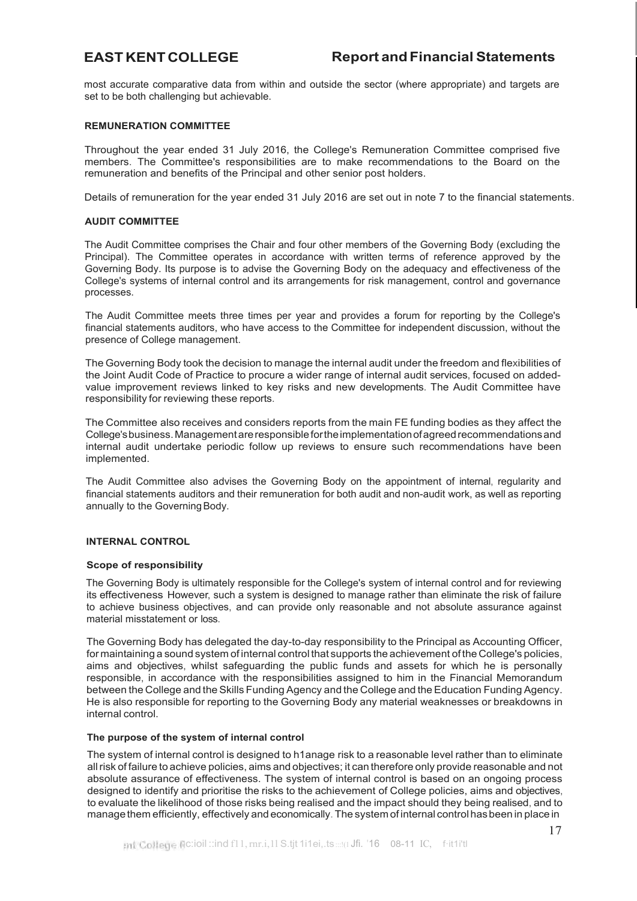most accurate comparative data from within and outside the sector (where appropriate) and targets are set to be both challenging but achievable.

# **REMUNERATION COMMITTEE**

Throughout the year ended 31 July 2016, the College's Remuneration Committee comprised five members. The Committee's responsibilities are to make recommendations to the Board on the remuneration and benefits of the Principal and other senior post holders.

Details of remuneration for the year ended 31 July 2016 are set out in note 7 to the financial statements.

# **AUDIT COMMITTEE**

The Audit Committee comprises the Chair and four other members of the Governing Body (excluding the Principal). The Committee operates in accordance with written terms of reference approved by the Governing Body. Its purpose is to advise the Governing Body on the adequacy and effectiveness of the College's systems of internal control and its arrangements for risk management, control and governance processes.

The Audit Committee meets three times per year and provides a forum for reporting by the College's financial statements auditors, who have access to the Committee for independent discussion, without the presence of College management.

The Governing Body took the decision to manage the internal audit under the freedom and flexibilities of the Joint Audit Code of Practice to procure a wider range of internal audit services, focused on addedvalue improvement reviews linked to key risks and new developments. The Audit Committee have responsibility for reviewing these reports.

The Committee also receives and considers reports from the main FE funding bodies as they affect the College'sbusiness.Managementareresponsiblefortheimplementationofagreedrecommendationsand internal audit undertake periodic follow up reviews to ensure such recommendations have been implemented.

The Audit Committee also advises the Governing Body on the appointment of internal, regularity and financial statements auditors and their remuneration for both audit and non-audit work, as well as reporting annually to the Governing Body.

# **INTERNAL CONTROL**

# **Scope of responsibility**

The Governing Body is ultimately responsible for the College's system of internal control and for reviewing its effectiveness. However, such a system is designed to manage rather than eliminate the risk of failure to achieve business objectives, and can provide only reasonable and not absolute assurance against material misstatement or loss.

The Governing Body has delegated the day-to-day responsibility to the Principal as Accounting Officer, for maintaining a sound system of internal control that supports the achievement of the College's policies, aims and objectives, whilst safeguarding the public funds and assets for which he is personally responsible, in accordance with the responsibilities assigned to him in the Financial Memorandum between the College and the Skills Funding Agency and the College and the Education Funding Agency. He is also responsible for reporting to the Governing Body any material weaknesses or breakdowns in internal control.

# **The purpose of the system of internal control**

The system of internal control is designed to h1anage risk to a reasonable level rather than to eliminate allrisk of failure to achieve policies, aims and objectives; it can therefore only provide reasonable and not absolute assurance of effectiveness. The system of internal control is based on an ongoing process designed to identify and prioritise the risks to the achievement of College policies, aims and objectives, to evaluate the likelihood of those risks being realised and the impact should they being realised, and to managethem efficiently, effectively and economically. The system of internal control hasbeen in place in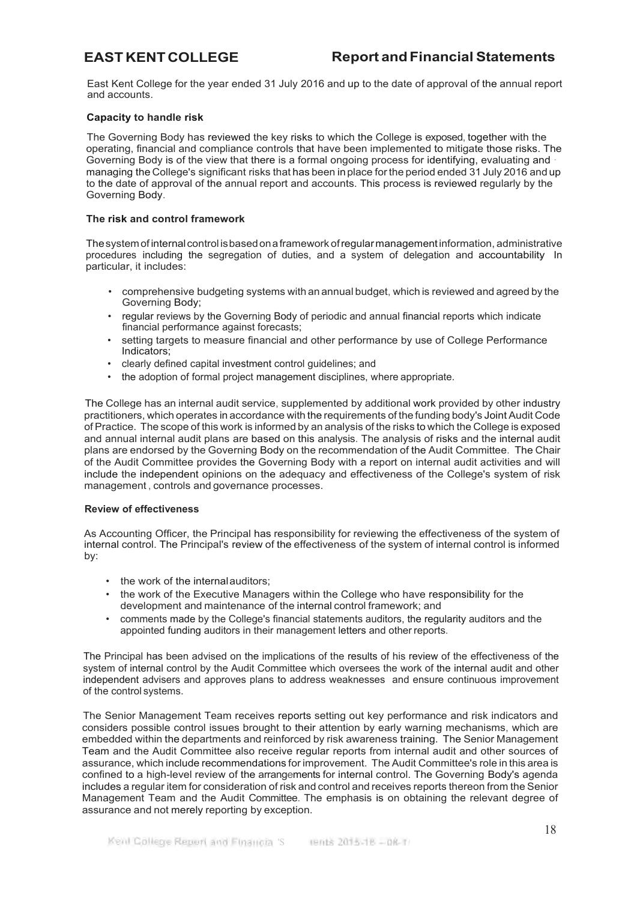East Kent College for the year ended 31 July 2016 and up to the date of approval of the annual report and accounts.

# **Capacity to handle risk**

The Governing Body has reviewed the key risks to which the College is exposed, together with the operating, financial and compliance controls that have been implemented to mitigate those risks. The Governing Body is of the view that there is a formal ongoing process for identifying, evaluating and · managing the College's significant risks that has been inplace forthe period ended 31 July 2016 and up to the date of approval of the annual report and accounts. This process is reviewed regularly by the Governing Body.

# **The risk and control framework**

Thesystemofinternalcontrol isbasedonaframework ofregularmanagementinformation, administrative procedures including the segregation of duties, and a system of delegation and accountability. In particular, it includes:

- comprehensive budgeting systems with an annual budget, which is reviewed and agreed by the Governing Body;
- regular reviews by the Governing Body of periodic and annual financial reports which indicate financial performance against forecasts;
- setting targets to measure financial and other performance by use of College Performance Indicators;
- clearly defined capital investment control guidelines; and
- the adoption of formal project management disciplines, where appropriate.

The College has an internal audit service, supplemented by additional work provided by other industry practitioners, which operates in accordance with the requirements of the funding body's Joint Audit Code of Practice. The scope of this work is informed by an analysis of the risks to which the College is exposed and annual internal audit plans are based on this analysis. The analysis of risks and the internal audit plans are endorsed by the Governing Body on the recommendation of the Audit Committee. The Chair of the Audit Committee provides the Governing Body with a report on internal audit activities and will include the independent opinions on the adequacy and effectiveness of the College's system of risk management , controls and governance processes.

# **Review of effectiveness**

As Accounting Officer, the Principal has responsibility for reviewing the effectiveness of the system of internal control. The Principal's review of the effectiveness of the system of internal control is informed by:

- the work of the internal auditors:
- the work of the Executive Managers within the College who have responsibility for the development and maintenance of the internal control framework; and
- comments made by the College's financial statements auditors, the regularity auditors and the appointed funding auditors in their management letters and other reports.

The Principal has been advised on the implications of the results of his review of the effectiveness of the system of internal control by the Audit Committee which oversees the work of the internal audit and other independent advisers and approves plans to address weaknesses and ensure continuous improvement of the control systems.

The Senior Management Team receives reports setting out key performance and risk indicators and considers possible control issues brought to their attention by early warning mechanisms, which are embedded within the departments and reinforced by risk awareness training. The Senior Management Team and the Audit Committee also receive regular reports from internal audit and other sources of assurance, which include recommendations for improvement. The Audit Committee's role in this area is confined to a high-level review of the arrangements for internal control. The Governing Body's agenda includes a regular item for consideration of risk and control and receives reports thereon from the Senior Management Team and the Audit Committee. The emphasis is on obtaining the relevant degree of assurance and not merely reporting by exception.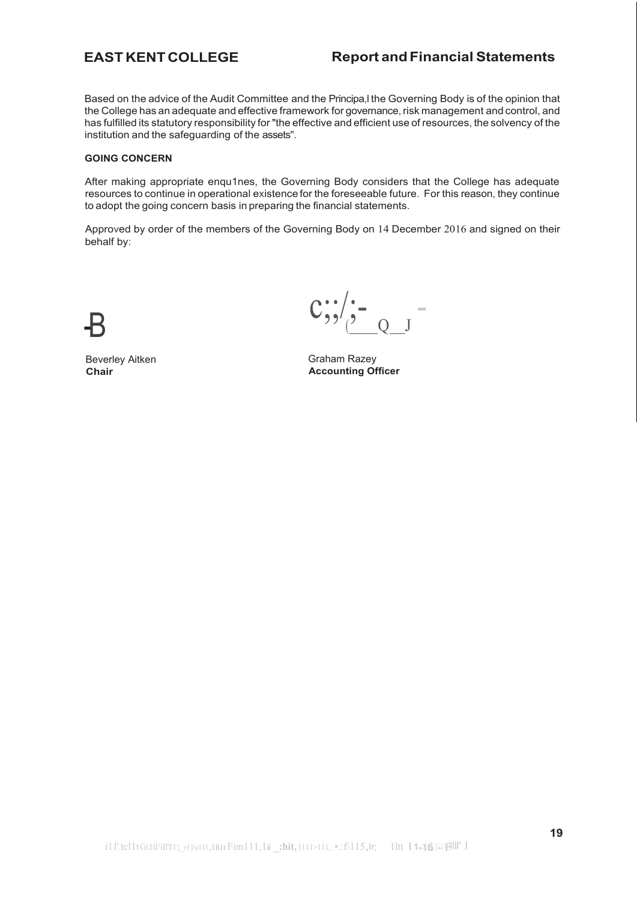Based on the advice of the Audit Committee and the Principa,l the Governing Body is of the opinion that the College has an adequate and effective framework for governance, risk management and control, and has fulfilled its statutory responsibility for "the effective and efficient use of resources, the solvency of the institution and the safeguarding of the assets".

# **GOING CONCERN**

After making appropriate enqu1nes, the Governing Body considers that the College has adequate resources to continue in operational existence for the foreseeable future. For this reason, they continue to adopt the going concern basis in preparing the financial statements.

Approved by order of the members of the Governing Body on 14 December 2016 and signed on their behalf by:

Beverley Aitken **Chair**

 $\frac{Q}{Q}$  J  $-c$ ;;/ $\frac{c}{2}$  -  $\frac{1}{2}$ 

Graham Razey **Accounting Officer**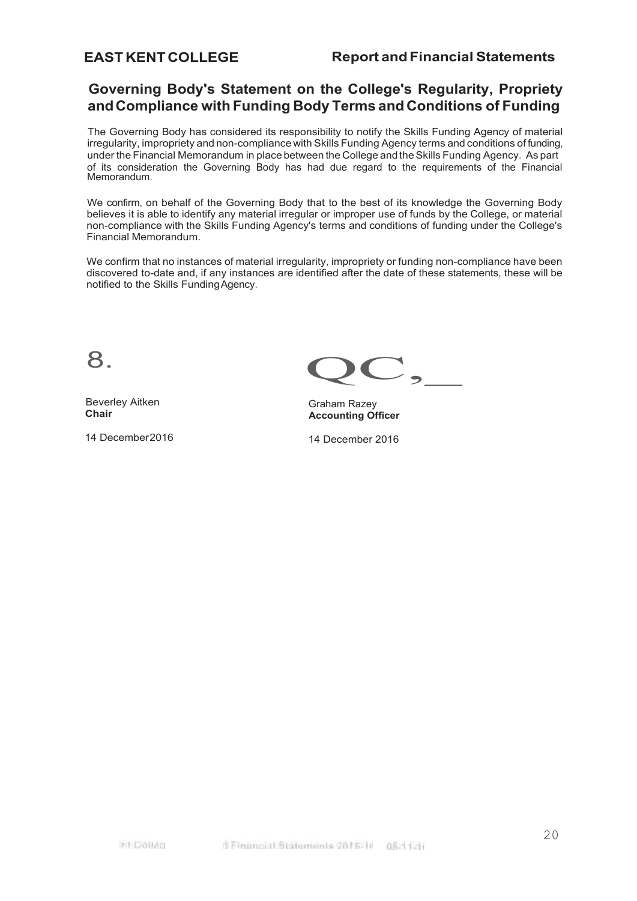# <span id="page-19-0"></span>**Governing Body's Statement on the College's Regularity, Propriety andCompliance with Funding Body Terms and Conditions of Funding**

The Governing Body has considered its responsibility to notify the Skills Funding Agency of material irregularity, impropriety and non-compliance with Skills Funding Agency terms and conditions of funding, under the Financial Memorandum in place between the College and the Skills Funding Agency. As part of its consideration the Governing Body has had due regard to the requirements of the Financial Memorandum.

We confirm, on behalf of the Governing Body that to the best of its knowledge the Governing Body believes it is able to identify any material irregular or improper use of funds by the College, or material non-compliance with the Skills Funding Agency's terms and conditions of funding under the College's Financial Memorandum.

We confirm that no instances of material irregularity, impropriety or funding non-compliance have been discovered to-date and, if any instances are identified after the date of these statements, these will be notified to the Skills FundingAgency.

Beverley Aitken **Chair**

14 December2016

8. QC,

Graham Razey **Accounting Officer**

14 December 2016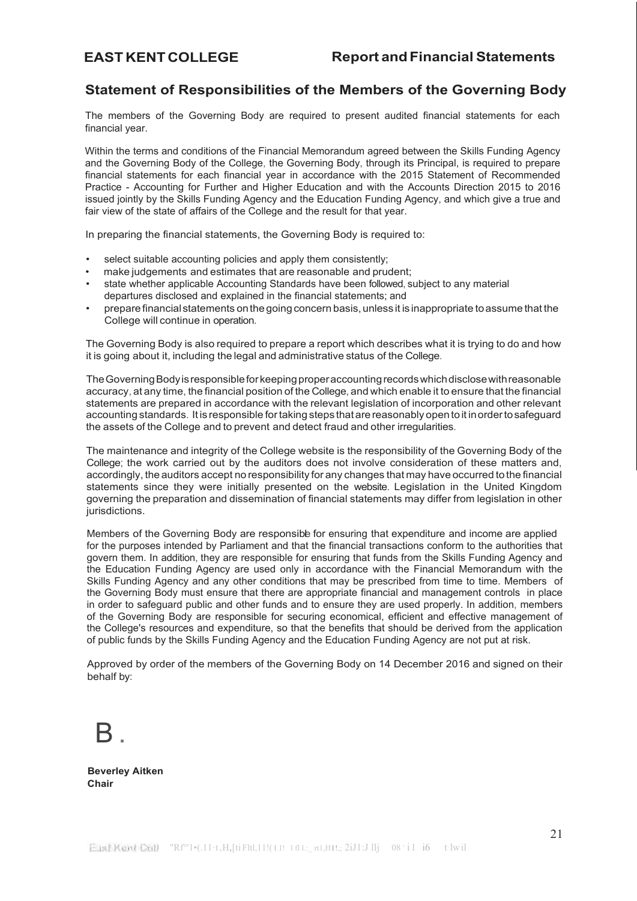# <span id="page-20-0"></span>**Statement of Responsibilities of the Members of the Governing Body**

The members of the Governing Body are required to present audited financial statements for each financial year.

Within the terms and conditions of the Financial Memorandum agreed between the Skills Funding Agency and the Governing Body of the College, the Governing Body, through its Principal, is required to prepare financial statements for each financial year in accordance with the 2015 Statement of Recommended Practice - Accounting for Further and Higher Education and with the Accounts Direction 2015 to 2016 issued jointly by the Skills Funding Agency and the Education Funding Agency, and which give a true and fair view of the state of affairs of the College and the result for that year.

In preparing the financial statements, the Governing Body is required to:

- select suitable accounting policies and apply them consistently;
- make judgements and estimates that are reasonable and prudent;
- state whether applicable Accounting Standards have been followed, subject to any material departures disclosed and explained in the financial statements; and
- prepare financial statements on the going concern basis, unless it is inappropriate to assume that the College will continue in operation.

The Governing Body is also required to prepare a report which describes what it is trying to do and how it is going about it, including the legal and administrative status of the College.

The Governing Body is responsible for keeping proper accounting records which disclose with reasonable accuracy, at any time, the financial position of the College, and which enable it to ensure that the financial statements are prepared in accordance with the relevant legislation of incorporation and other relevant accounting standards. It is responsible fortaking steps that arereasonably open toit inordertosafeguard the assets of the College and to prevent and detect fraud and other irregularities.

The maintenance and integrity of the College website is the responsibility of the Governing Body of the College; the work carried out by the auditors does not involve consideration of these matters and, accordingly, the auditors accept no responsibility for any changes that may have occurred to the financial statements since they were initially presented on the website. Legislation in the United Kingdom governing the preparation and dissemination of financial statements may differ from legislation in other jurisdictions.

Members of the Governing Body are responsibe for ensuring that expenditure and income are applied for the purposes intended by Parliament and that the financial transactions conform to the authorities that govern them. In addition, they are responsible for ensuring that funds from the Skills Funding Agency and the Education Funding Agency are used only in accordance with the Financial Memorandum with the Skills Funding Agency and any other conditions that may be prescribed from time to time. Members of the Governing Body must ensure that there are appropriate financial and management controls in place in order to safeguard public and other funds and to ensure they are used properly. In addition, members of the Governing Body are responsible for securing economical, efficient and effective management of the College's resources and expenditure, so that the benefits that should be derived from the application of public funds by the Skills Funding Agency and the Education Funding Agency are not put at risk.

Approved by order of the members of the Governing Body on 14 December 2016 and signed on their behalf by:

 $\mathsf{R}$  .

**Beverley Aitken Chair**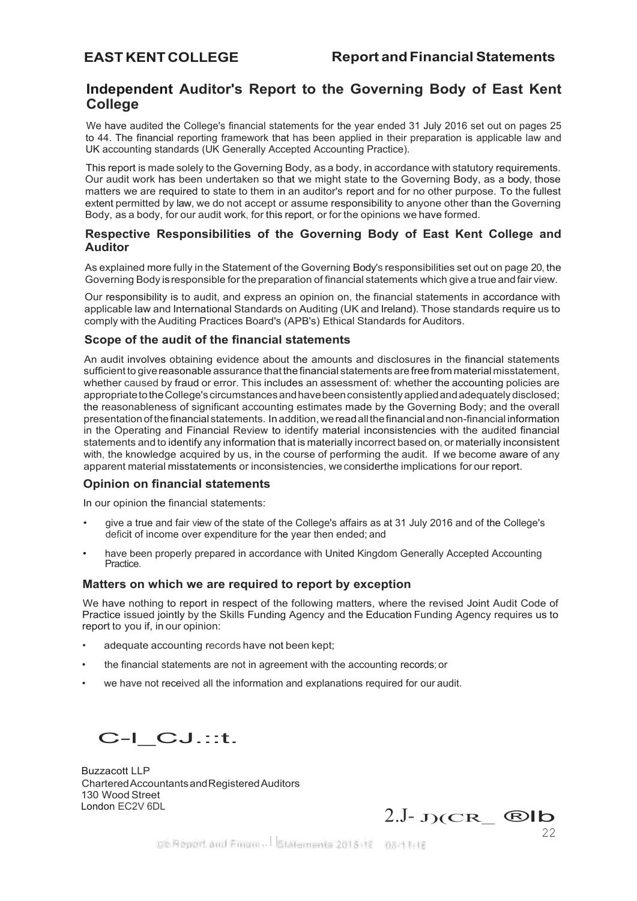# <span id="page-21-0"></span>**Independent Auditor's Report to the Governing Body of East Kent College**

We have audited the College's financial statements for the year ended 31 July 2016 set out on pages 25 to 44. The financial reporting framework that has been applied in their preparation is applicable law and UK accounting standards (UK Generally Accepted Accounting Practice).

This report is made solely to the Governing Body, as a body, in accordance with statutory requirements. Our audit work has been undertaken so that we might state to the Governing Body, as a body, those matters we are required to state to them in an auditor's report and for no other purpose. To the fullest extent permitted by law, we do not accept or assume responsibility to anyone other than the Governing Body, as a body, for our audit work, for this report, or for the opinions we have formed.

# **Respective Responsibilities of the Governing Body of East Kent College and Auditor**

As explained more fully in the Statement of the Governing Body's responsibilities set out on page 20, the Governing Body isresponsible forthe preparation of financial statements which give a trueandfair view.

Our responsibility is to audit, and express an opinion on, the financial statements in accordance with applicable law and International Standards on Auditing (UK and Ireland). Those standards require us to comply with the Auditing Practices Board's (APB's) Ethical Standards for Auditors.

# **Scope of the audit of the financial statements**

An audit involves obtaining evidence about the amounts and disclosures in the financial statements sufficient to give reasonable assurance that the financial statements are free from material misstatement, whether caused by fraud or error. This includes an assessment of: whether the accounting policies are appropriate to the College's circumstances and have been consistently applied and adequately disclosed; the reasonableness of significant accounting estimates made by the Governing Body; and the overall presentation ofthefinancial statements. Inaddition,wereadallthefinancialandnon-financial information in the Operating and Financial Review to identify material inconsistencies with the audited financial statements and to identify any information that is materially incorrect based on, or materially inconsistent with, the knowledge acquired by us, in the course of performing the audit. If we become aware of any apparent material misstatements or inconsistencies, weconsiderthe implications for our report.

# **Opinion on financial statements**

In our opinion the financial statements:

- give a true and fair view of the state of the College's affairs as at 31 July 2016 and of the College's deficit of income over expenditure for the year then ended; and
- have been properly prepared in accordance with United Kingdom Generally Accepted Accounting **Practice**

# **Matters on which we are required to report by exception**

We have nothing to report in respect of the following matters, where the revised Joint Audit Code of Practice issued jointly by the Skills Funding Agency and the Education Funding Agency requires us to report to you if, in our opinion:

- adequate accounting records have not been kept:
- the financial statements are not in agreement with the accounting records;or
- we have not received all the information and explanations required for our audit.

C-l\_CJ.::t.

Buzzacott LLP CharteredAccountantsandRegisteredAuditors 130 Wood Street<br>London EC2V 6DL

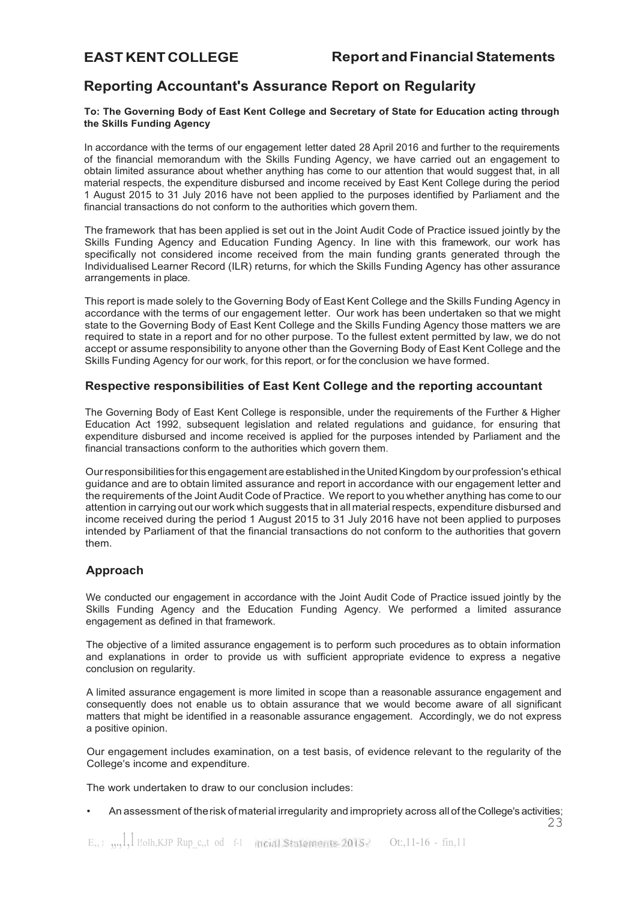# <span id="page-22-0"></span>**Reporting Accountant's Assurance Report on Regularity**

# **To: The Governing Body of East Kent College and Secretary of State for Education acting through the Skills Funding Agency**

In accordance with the terms of our engagement letter dated 28 April 2016 and further to the requirements of the financial memorandum with the Skills Funding Agency, we have carried out an engagement to obtain limited assurance about whether anything has come to our attention that would suggest that, in all material respects, the expenditure disbursed and income received by East Kent College during the period 1 August 2015 to 31 July 2016 have not been applied to the purposes identified by Parliament and the financial transactions do not conform to the authorities which govern them.

The framework that has been applied is set out in the Joint Audit Code of Practice issued jointly by the Skills Funding Agency and Education Funding Agency. In line with this framework, our work has specifically not considered income received from the main funding grants generated through the Individualised Learner Record (ILR) returns, for which the Skills Funding Agency has other assurance arrangements in place.

This report is made solely to the Governing Body of East Kent College and the Skills Funding Agency in accordance with the terms of our engagement letter. Our work has been undertaken so that we might state to the Governing Body of East Kent College and the Skills Funding Agency those matters we are required to state in a report and for no other purpose. To the fullest extent permitted by law, we do not accept or assume responsibility to anyone other than the Governing Body of East Kent College and the Skills Funding Agency for our work, for this report, or for the conclusion we have formed.

# **Respective responsibilities of East Kent College and the reporting accountant**

The Governing Body of East Kent College is responsible, under the requirements of the Further & Higher Education Act 1992, subsequent legislation and related regulations and guidance, for ensuring that expenditure disbursed and income received is applied for the purposes intended by Parliament and the financial transactions conform to the authorities which govern them.

Ourresponsibilitiesforthis engagement areestablished intheUnitedKingdom byourprofession's ethical guidance and are to obtain limited assurance and report in accordance with our engagement letter and the requirements of the Joint Audit Code of Practice. We report to you whether anything has come to our attention in carrying out our work which suggests that in all material respects, expenditure disbursed and income received during the period 1 August 2015 to 31 July 2016 have not been applied to purposes intended by Parliament of that the financial transactions do not conform to the authorities that govern them.

# **Approach**

We conducted our engagement in accordance with the Joint Audit Code of Practice issued jointly by the Skills Funding Agency and the Education Funding Agency. We performed a limited assurance engagement as defined in that framework.

The objective of a limited assurance engagement is to perform such procedures as to obtain information and explanations in order to provide us with sufficient appropriate evidence to express a negative conclusion on regularity.

A limited assurance engagement is more limited in scope than a reasonable assurance engagement and consequently does not enable us to obtain assurance that we would become aware of all significant matters that might be identified in a reasonable assurance engagement. Accordingly, we do not express a positive opinion.

Our engagement includes examination, on a test basis, of evidence relevant to the regularity of the College's income and expenditure.

The work undertaken to draw to our conclusion includes:

• An assessment of therisk of material irregularity and impropriety across all of the College's activities;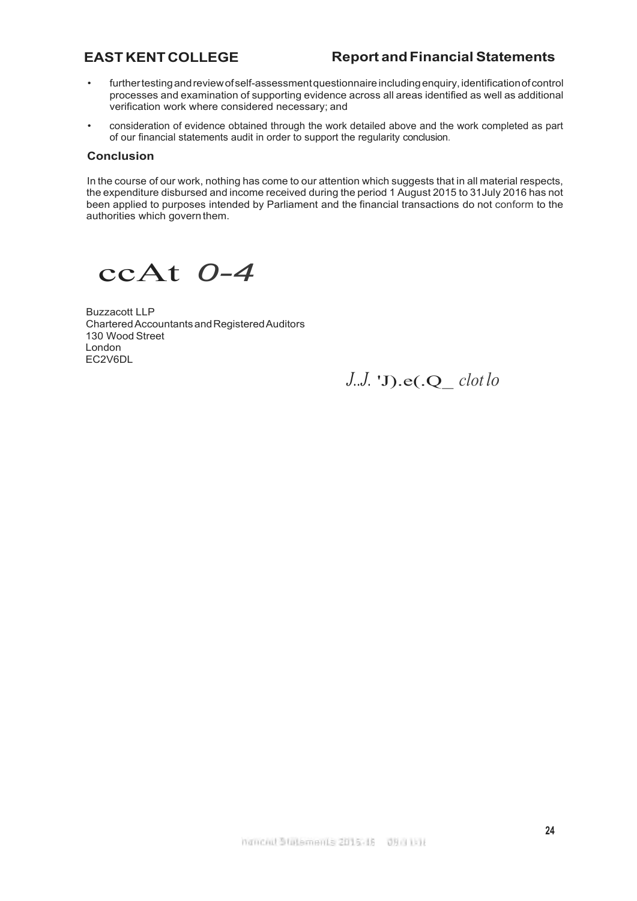- furthertestingandreviewofself-assessmentquestionnaire includingenquiry,identificationofcontrol processes and examination of supporting evidence across all areas identified as well as additional verification work where considered necessary; and
- consideration of evidence obtained through the work detailed above and the work completed as part of our financial statements audit in order to support the regularity conclusion.

# **Conclusion**

In the course of our work, nothing has come to our attention which suggests that in all material respects, the expenditure disbursed and income received during the period 1 August 2015 to 31July 2016 has not been applied to purposes intended by Parliament and the financial transactions do not conform to the authorities which govern them.

ccAt *0-4*

Buzzacott LLP CharteredAccountantsandRegisteredAuditors 130 Wood Street London EC2V6DL

*J..J.* 'J).e(.Q\_ *clot lo*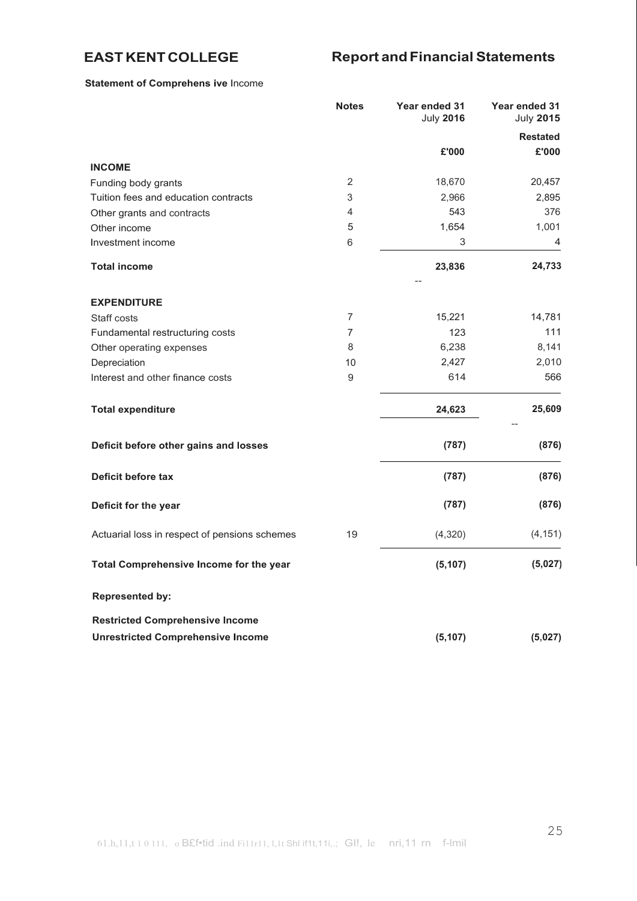# **Statement of Comprehens ive** Income

|                                               | <b>Notes</b>   | Year ended 31<br><b>July 2016</b> | Year ended 31<br><b>July 2015</b> |
|-----------------------------------------------|----------------|-----------------------------------|-----------------------------------|
|                                               |                |                                   | <b>Restated</b>                   |
|                                               |                | £'000                             | £'000                             |
| <b>INCOME</b>                                 |                |                                   |                                   |
| Funding body grants                           | $\overline{2}$ | 18,670                            | 20,457                            |
| Tuition fees and education contracts          | 3              | 2,966                             | 2,895                             |
| Other grants and contracts                    | 4              | 543                               | 376                               |
| Other income                                  | $\mathbf 5$    | 1,654                             | 1,001                             |
| Investment income                             | 6              | 3                                 | 4                                 |
| <b>Total income</b>                           |                | 23,836                            | 24,733                            |
| <b>EXPENDITURE</b>                            |                |                                   |                                   |
| Staff costs                                   | $\overline{7}$ | 15,221                            | 14,781                            |
| Fundamental restructuring costs               | 7              | 123                               | 111                               |
| Other operating expenses                      | 8              | 6,238                             | 8,141                             |
| Depreciation                                  | 10             | 2,427                             | 2,010                             |
| Interest and other finance costs              | 9              | 614                               | 566                               |
| <b>Total expenditure</b>                      |                | 24,623                            | 25,609                            |
| Deficit before other gains and losses         |                | (787)                             | (876)                             |
| Deficit before tax                            |                | (787)                             | (876)                             |
| Deficit for the year                          |                | (787)                             | (876)                             |
| Actuarial loss in respect of pensions schemes | 19             | (4,320)                           | (4, 151)                          |
| Total Comprehensive Income for the year       |                | (5, 107)                          | (5,027)                           |
| <b>Represented by:</b>                        |                |                                   |                                   |
| <b>Restricted Comprehensive Income</b>        |                |                                   |                                   |
| <b>Unrestricted Comprehensive Income</b>      |                | (5, 107)                          | (5,027)                           |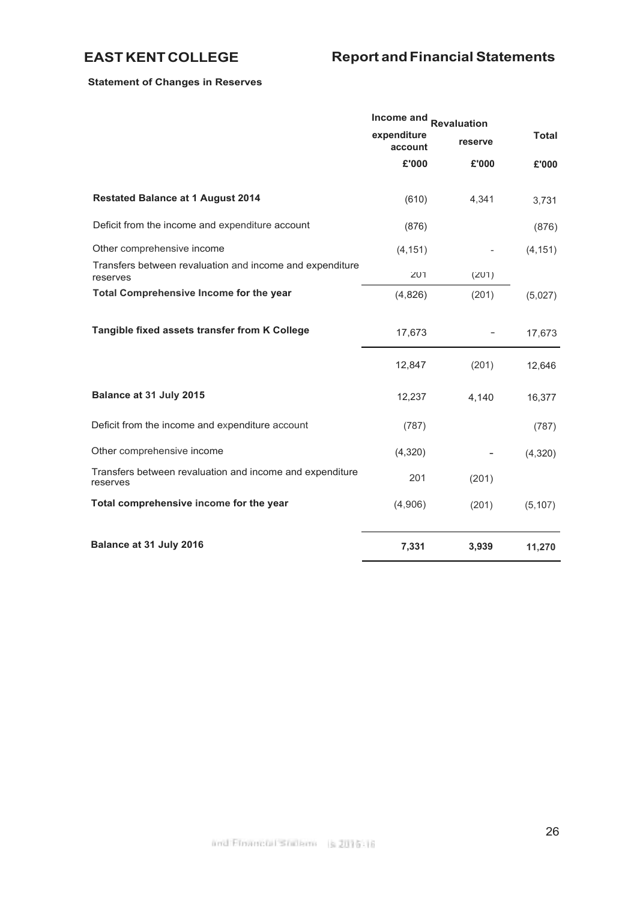# **Statement of Changes in Reserves**

|                                                                      | Income and<br><b>Revaluation</b> |         |              |  |
|----------------------------------------------------------------------|----------------------------------|---------|--------------|--|
|                                                                      | expenditure<br>account           | reserve | <b>Total</b> |  |
|                                                                      | £'000                            | £'000   | £'000        |  |
| <b>Restated Balance at 1 August 2014</b>                             | (610)                            | 4,341   | 3,731        |  |
| Deficit from the income and expenditure account                      | (876)                            |         | (876)        |  |
| Other comprehensive income                                           | (4, 151)                         |         | (4, 151)     |  |
| Transfers between revaluation and income and expenditure<br>reserves | 201                              | (201)   |              |  |
| Total Comprehensive Income for the year                              | (4,826)                          | (201)   | (5,027)      |  |
| Tangible fixed assets transfer from K College                        | 17,673                           |         | 17,673       |  |
|                                                                      | 12,847                           | (201)   | 12,646       |  |
| Balance at 31 July 2015                                              | 12,237                           | 4,140   | 16,377       |  |
| Deficit from the income and expenditure account                      | (787)                            |         | (787)        |  |
| Other comprehensive income                                           | (4,320)                          |         | (4,320)      |  |
| Transfers between revaluation and income and expenditure<br>reserves | 201                              | (201)   |              |  |
| Total comprehensive income for the year                              | (4,906)                          | (201)   | (5, 107)     |  |
| Balance at 31 July 2016                                              | 7,331                            | 3,939   | 11,270       |  |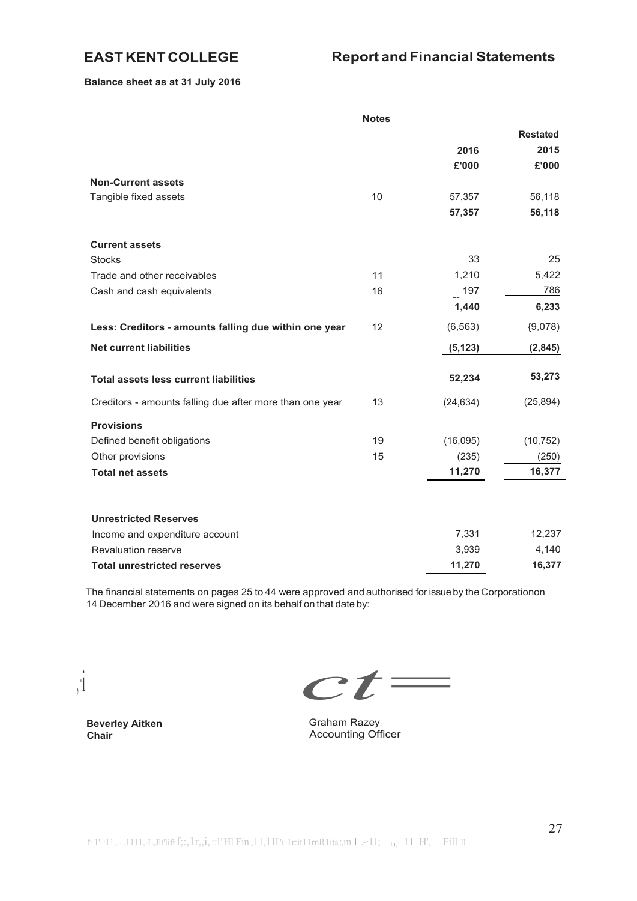**Balance sheet as at 31 July 2016**

|                                                          | <b>Notes</b> |           |                 |
|----------------------------------------------------------|--------------|-----------|-----------------|
|                                                          |              |           | <b>Restated</b> |
|                                                          |              | 2016      | 2015            |
|                                                          |              | £'000     | £'000           |
| <b>Non-Current assets</b>                                |              |           |                 |
| Tangible fixed assets                                    | 10           | 57,357    | 56,118          |
|                                                          |              | 57,357    | 56,118          |
| <b>Current assets</b>                                    |              |           |                 |
| <b>Stocks</b>                                            |              | 33        | 25              |
| Trade and other receivables                              | 11           | 1,210     | 5,422           |
| Cash and cash equivalents                                | 16           | $-197$    | 786             |
|                                                          |              | 1,440     | 6,233           |
| Less: Creditors - amounts falling due within one year    | 12           | (6, 563)  | (9,078)         |
| <b>Net current liabilities</b>                           |              | (5, 123)  | (2, 845)        |
| <b>Total assets less current liabilities</b>             |              | 52,234    | 53,273          |
| Creditors - amounts falling due after more than one year | 13           | (24, 634) | (25, 894)       |
| <b>Provisions</b>                                        |              |           |                 |
| Defined benefit obligations                              | 19           | (16,095)  | (10, 752)       |
| Other provisions                                         | 15           | (235)     | (250)           |
| <b>Total net assets</b>                                  |              | 11,270    | 16,377          |
|                                                          |              |           |                 |
| <b>Unrestricted Reserves</b>                             |              |           |                 |
| Income and expenditure account                           |              | 7,331     | 12,237          |
| <b>Revaluation reserve</b>                               |              | 3,939     | 4,140           |
| <b>Total unrestricted reserves</b>                       |              | 11,270    | 16,377          |

The financial statements on pages 25 to 44 were approved and authorised for issueby the Corporationon 14 December 2016 and were signed on its behalf on that date by:

,·i

*ct=*

**Beverley Aitken Chair**

Graham Razey Accounting Officer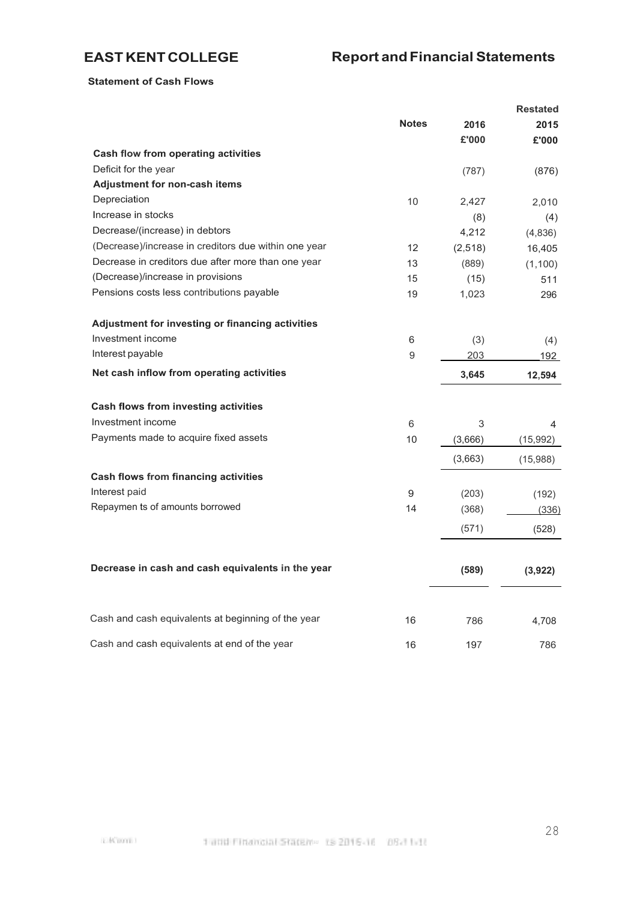# **Statement of Cash Flows**

|                                                      |              |         | <b>Restated</b> |
|------------------------------------------------------|--------------|---------|-----------------|
|                                                      | <b>Notes</b> | 2016    | 2015            |
|                                                      |              | £'000   | £'000           |
| Cash flow from operating activities                  |              |         |                 |
| Deficit for the year                                 |              | (787)   | (876)           |
| Adjustment for non-cash items                        |              |         |                 |
| Depreciation                                         | 10           | 2,427   | 2.010           |
| Increase in stocks                                   |              | (8)     | (4)             |
| Decrease/(increase) in debtors                       |              | 4,212   | (4,836)         |
| (Decrease)/increase in creditors due within one year | 12           | (2,518) | 16,405          |
| Decrease in creditors due after more than one year   | 13           | (889)   | (1, 100)        |
| (Decrease)/increase in provisions                    | 15           | (15)    | 511             |
| Pensions costs less contributions payable            | 19           | 1,023   | 296             |
| Adjustment for investing or financing activities     |              |         |                 |
| Investment income                                    | 6            | (3)     | (4)             |
| Interest payable                                     | 9            | 203     | 192             |
| Net cash inflow from operating activities            |              | 3,645   | 12,594          |
| Cash flows from investing activities                 |              |         |                 |
| Investment income                                    | 6            | 3       |                 |
| Payments made to acquire fixed assets                | 10           |         | 4               |
|                                                      |              | (3,666) | (15,992)        |
|                                                      |              | (3,663) | (15,988)        |
| <b>Cash flows from financing activities</b>          |              |         |                 |
| Interest paid                                        | 9            | (203)   | (192)           |
| Repaymen ts of amounts borrowed                      | 14           | (368)   | (336)           |
|                                                      |              | (571)   | (528)           |
|                                                      |              |         |                 |
| Decrease in cash and cash equivalents in the year    |              | (589)   | (3,922)         |
|                                                      |              |         |                 |
| Cash and cash equivalents at beginning of the year   | 16           | 786     | 4,708           |
| Cash and cash equivalents at end of the year         | 16           | 197     | 786             |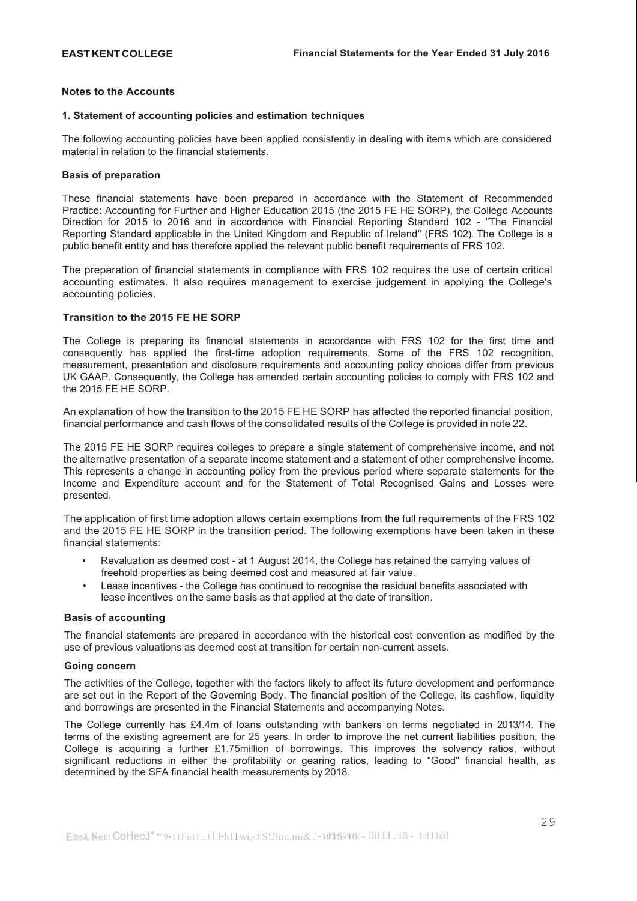## <span id="page-28-0"></span>**Notes to the Accounts**

## **1. Statement of accounting policies and estimation techniques**

The following accounting policies have been applied consistently in dealing with items which are considered material in relation to the financial statements.

## **Basis of preparation**

These financial statements have been prepared in accordance with the Statement of Recommended Practice: Accounting for Further and Higher Education 2015 (the 2015 FE HE SORP), the College Accounts Direction for 2015 to 2016 and in accordance with Financial Reporting Standard 102 - "The Financial Reporting Standard applicable in the United Kingdom and Republic of Ireland" (FRS 102). The College is a public benefit entity and has therefore applied the relevant public benefit requirements of FRS 102.

The preparation of financial statements in compliance with FRS 102 requires the use of certain critical accounting estimates. It also requires management to exercise judgement in applying the College's accounting policies.

# **Transition to the 2015 FE HE SORP**

The College is preparing its financial statements in accordance with FRS 102 for the first time and consequently has applied the first-time adoption requirements. Some of the FRS 102 recognition, measurement, presentation and disclosure requirements and accounting policy choices differ from previous UK GAAP. Consequently, the College has amended certain accounting policies to comply with FRS 102 and the 2015 FE HE SORP.

An explanation of how the transition to the 2015 FE HE SORP has affected the reported financial position, financial performance and cash flows of the consolidated results of the College is provided in note 22.

The 2015 FE HE SORP requires colleges to prepare a single statement of comprehensive income, and not the alternative presentation of a separate income statement and a statement of other comprehensive income. This represents a change in accounting policy from the previous period where separate statements for the Income and Expenditure account and for the Statement of Total Recognised Gains and Losses were presented.

The application of first time adoption allows certain exemptions from the full requirements of the FRS 102 and the 2015 FE HE SORP in the transition period. The following exemptions have been taken in these financial statements:

- Revaluation as deemed cost at 1 August 2014, the College has retained the carrying values of freehold properties as being deemed cost and measured at fair value.
- Lease incentives the College has continued to recognise the residual benefits associated with lease incentives on the same basis as that applied at the date of transition.

## **Basis of accounting**

The financial statements are prepared in accordance with the historical cost convention as modified by the use of previous valuations as deemed cost at transition for certain non-current assets.

## **Going concern**

The activities of the College, together with the factors likely to affect its future development and performance are set out in the Report of the Governing Body. The financial position of the College, its cashflow, liquidity and borrowings are presented in the Financial Statements and accompanying Notes.

The College currently has £4.4m of loans outstanding with bankers on terms negotiated in 2013/14. The terms of the existing agreement are for 25 years. In order to improve the net current liabilities position, the College is acquiring a further £1.75million of borrowings. This improves the solvency ratios, without significant reductions in either the profitability or gearing ratios, leading to "Good" financial health, as determined by the SFA financial health measurements by 2018.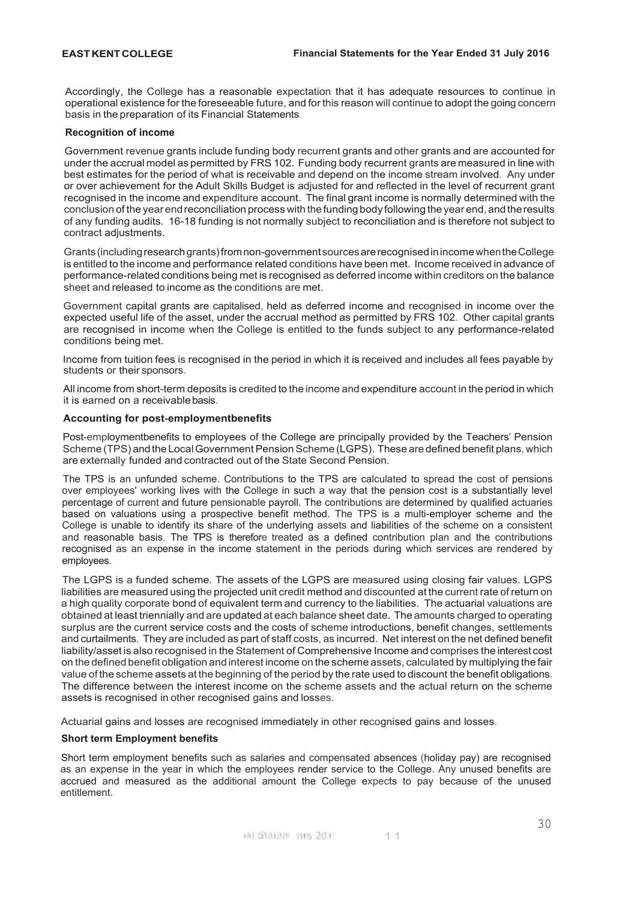Accordingly, the College has a reasonable expectation that it has adequate resources to continue in operational existence for the foreseeable future, and for this reason will continue to adopt the going concern basis in the preparation of its Financial Statements.

## **Recognition of income**

Government revenue grants include funding body recurrent grants and other grants and are accounted for under the accrual model as permitted by FRS 102. Funding body recurrent grants are measured in line with best estimates for the period of what is receivable and depend on the income stream involved. Any under or over achievement for the Adult Skills Budget is adjusted for and reflected in the level of recurrent grant recognised in the income and expenditure account. The final grant income is normally determined with the conclusion of the year endreconciliation process withthefunding body following theyear end, andtheresults of any funding audits. 16-18 funding is not normally subject to reconciliation and is therefore not subject to contract adjustments.

Grants(includingresearchgrants)fromnon-governmentsourcesarerecognisedinincomewhentheCollege is entitled to the income and performance related conditions have been met. Income received in advance of performance-related conditions being met is recognised as deferred income within creditors on the balance sheet and released to income as the conditions are met.

Government capital grants are capitalised, held as deferred income and recognised in income over the expected useful life of the asset, under the accrual method as permitted by FRS 102. Other capital grants are recognised in income when the College is entitled to the funds subject to any performance-related conditions being met.

Income from tuition fees is recognised in the period in which it is received and includes all fees payable by students or their sponsors.

All income from short-term deposits is credited to the income and expenditure account in the period in which it is earned on a receivablebasis.

## **Accounting for post-employmentbenefits**

Post-employmentbenefits to employees of the College are principally provided by the Teachers' Pension Scheme (TPS) and the Local Government Pension Scheme (LGPS). These are defined benefit plans, which are externally funded and contracted out of the State Second Pension.

The TPS is an unfunded scheme. Contributions to the TPS are calculated to spread the cost of pensions over employees' working lives with the College in such a way that the pension cost is a substantially level percentage of current and future pensionable payroll. The contributions are determined by qualified actuaries based on valuations using a prospective benefit method. The TPS is a multi-employer scheme and the College is unable to identify its share of the underlying assets and liabilities of the scheme on a consistent and reasonable basis. The TPS is therefore treated as a defined contribution plan and the contributions recognised as an expense in the income statement in the periods during which services are rendered by employees.

The LGPS is a funded scheme. The assets of the LGPS are measured using closing fair values. LGPS liabilities are measured using the projected unit credit method and discounted at the current rate of return on a high quality corporate bond of equivalent term and currency to the liabilities. The actuarial valuations are obtained at least triennially and are updated at each balance sheet date. The amounts charged to operating surplus are the current service costs and the costs of scheme introductions, benefit changes, settlements and curtailments. They are included as part of staff costs, as incurred. Net interest on the net defined benefit liability/asset is also recognised in the Statement of Comprehensive Income and comprises the interest cost on the defined benefit obligation and interest income on the scheme assets, calculated by multiplying the fair value of the scheme assets at the beginning of the period by the rate used to discount the benefit obligations. The difference between the interest income on the scheme assets and the actual return on the scheme assets is recognised in other recognised gains and losses.

Actuarial gains and losses are recognised immediately in other recognised gains and losses.

## **Short term Employment benefits**

Short term employment benefits such as salaries and compensated absences (holiday pay) are recognised as an expense in the year in which the employees render service to the College. Any unused benefits are accrued and measured as the additional amount the College expects to pay because of the unused entitlement.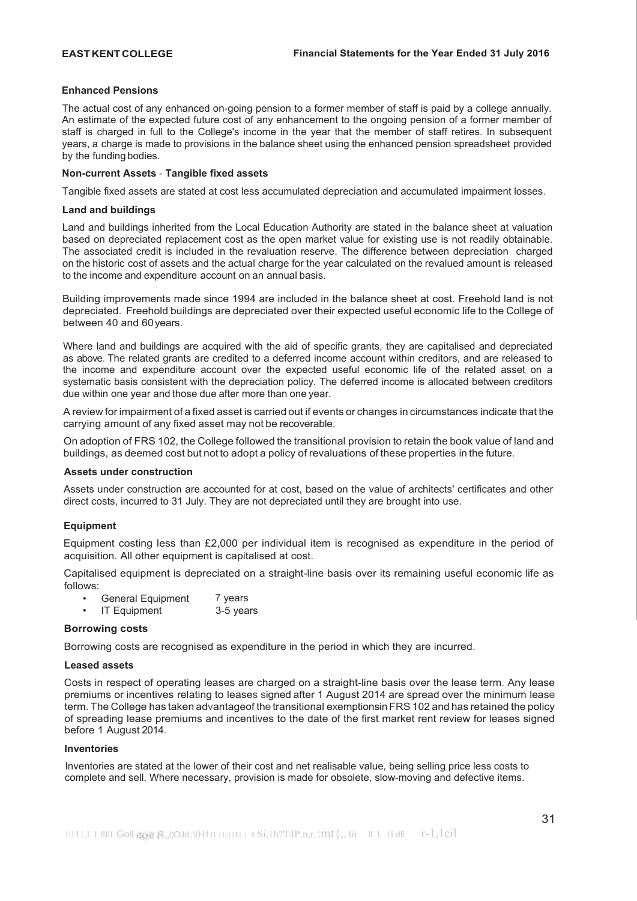## **Enhanced Pensions**

The actual cost of any enhanced on-going pension to a former member of staff is paid by a college annually. An estimate of the expected future cost of any enhancement to the ongoing pension of a former member of staff is charged in full to the College's income in the year that the member of staff retires. In subsequent years, a charge is made to provisions in the balance sheet using the enhanced pension spreadsheet provided by the funding bodies.

## **Non-current Assets** - **Tangible fixed assets**

Tangible fixed assets are stated at cost less accumulated depreciation and accumulated impairment losses.

## **Land and buildings**

Land and buildings inherited from the Local Education Authority are stated in the balance sheet at valuation based on depreciated replacement cost as the open market value for existing use is not readily obtainable. The associated credit is included in the revaluation reserve. The difference between depreciation charged on the historic cost of assets and the actual charge for the year calculated on the revalued amount is released to the income and expenditure account on an annual basis.

Building improvements made since 1994 are included in the balance sheet at cost. Freehold land is not depreciated. Freehold buildings are depreciated over their expected useful economic life to the College of between 40 and 60years.

Where land and buildings are acquired with the aid of specific grants, they are capitalised and depreciated as above. The related grants are credited to a deferred income account within creditors, and are released to the income and expenditure account over the expected useful economic life of the related asset on a systematic basis consistent with the depreciation policy. The deferred income is allocated between creditors due within one year and those due after more than one year.

A review for impairment of a fixed asset is carried out if events or changes in circumstances indicate that the carrying amount of any fixed asset may not be recoverable.

On adoption of FRS 102, the College followed the transitional provision to retain the book value of land and buildings, as deemed cost but not to adopt a policy of revaluations of these properties in the future.

## **Assets under construction**

Assets under construction are accounted for at cost, based on the value of architects' certificates and other direct costs, incurred to 31 July. They are not depreciated until they are brought into use.

# **Equipment**

Equipment costing less than £2,000 per individual item is recognised as expenditure in the period of acquisition. All other equipment is capitalised at cost.

Capitalised equipment is depreciated on a straight-line basis over its remaining useful economic life as follows:

- General Equipment 7 years
	- IT Equipment 3-5 years

## **Borrowing costs**

Borrowing costs are recognised as expenditure in the period in which they are incurred.

## **Leased assets**

Costs in respect of operating leases are charged on a straight-line basis over the lease term. Any lease premiums or incentives relating to leases signed after 1 August 2014 are spread over the minimum lease term. The College has taken advantageof the transitional exemptionsinFRS 102 and has retained the policy of spreading lease premiums and incentives to the date of the first market rent review for leases signed before 1 August 2014.

## **Inventories**

Inventories are stated at the lower of their cost and net realisable value, being selling price less costs to complete and sell. Where necessary, provision is made for obsolete, slow-moving and defective items.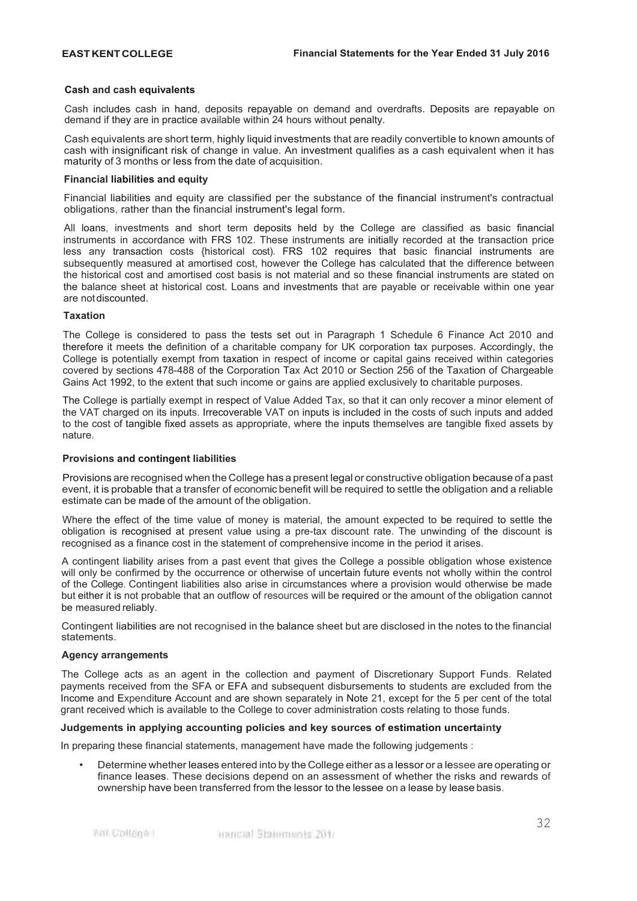### **Cash and cash equivalents**

Cash includes cash in hand, deposits repayable on demand and overdrafts. Deposits are repayable on demand if they are in practice available within 24 hours without penalty.

Cash equivalents are short term, highly liquid investments that are readily convertible to known amounts of cash with insignificant risk of change in value. An investment qualifies as a cash equivalent when it has maturity of 3 months or less from the date of acquisition.

### **Financial liabilities and equity**

Financial liabilities and equity are classified per the substance of the financial instrument's contractual obligations, rather than the financial instrument's legal form.

All loans, investments and short term deposits held by the College are classified as basic financial instruments in accordance with FRS 102. These instruments are initially recorded at the transaction price less any transaction costs {historical cost). FRS 102 requires that basic financial instruments are subsequently measured at amortised cost, however the College has calculated that the difference between the historical cost and amortised cost basis is not material and so these financial instruments are stated on the balance sheet at historical cost. Loans and investments that are payable or receivable within one year are not discounted.

### **Taxation**

The College is considered to pass the tests set out in Paragraph 1 Schedule 6 Finance Act 2010 and therefore it meets the definition of a charitable company for UK corporation tax purposes. Accordingly, the College is potentially exempt from taxation in respect of income or capital gains received within categories covered by sections 478-488 of the Corporation Tax Act 2010 or Section 256 of the Taxation of Chargeable Gains Act 1992, to the extent that such income or gains are applied exclusively to charitable purposes.

The College is partially exempt in respect of Value Added Tax, so that it can only recover a minor element of the VAT charged on its inputs. Irrecoverable VAT on inputs is included in the costs of such inputs and added to the cost of tangible fixed assets as appropriate, where the inputs themselves are tangible fixed assets by nature.

## **Provisions and contingent liabilities**

Provisions are recognised when the College has a present legal or constructive obligation because of a past event, it is probable that a transfer of economic benefit will be required to settle the obligation and a reliable estimate can be made of the amount of the obligation.

Where the effect of the time value of money is material, the amount expected to be required to settle the obligation is recognised at present value using a pre-tax discount rate. The unwinding of the discount is recognised as a finance cost in the statement of comprehensive income in the period it arises.

A contingent liability arises from a past event that gives the College a possible obligation whose existence will only be confirmed by the occurrence or otherwise of uncertain future events not wholly within the control of the College. Contingent liabilities also arise in circumstances where a provision would otherwise be made but either it is not probable that an outflow of resources will be required or the amount of the obligation cannot be measured reliably.

Contingent liabilities are not recognised in the balance sheet but are disclosed in the notes to the financial statements.

### **Agency arrangements**

The College acts as an agent in the collection and payment of Discretionary Support Funds. Related payments received from the SFA or EFA and subsequent disbursements to students are excluded from the Income and Expenditure Account and are shown separately in Note 21, except for the 5 per cent of the total grant received which is available to the College to cover administration costs relating to those funds.

## **Judgements in applying accounting policies and key sources of estimation uncertainty**

In preparing these financial statements, management have made the following judgements :

• Determine whether leases entered into by the College either as a lessor or a lessee are operating or finance leases. These decisions depend on an assessment of whether the risks and rewards of ownership have been transferred from the lessor to the lessee on a lease by lease basis.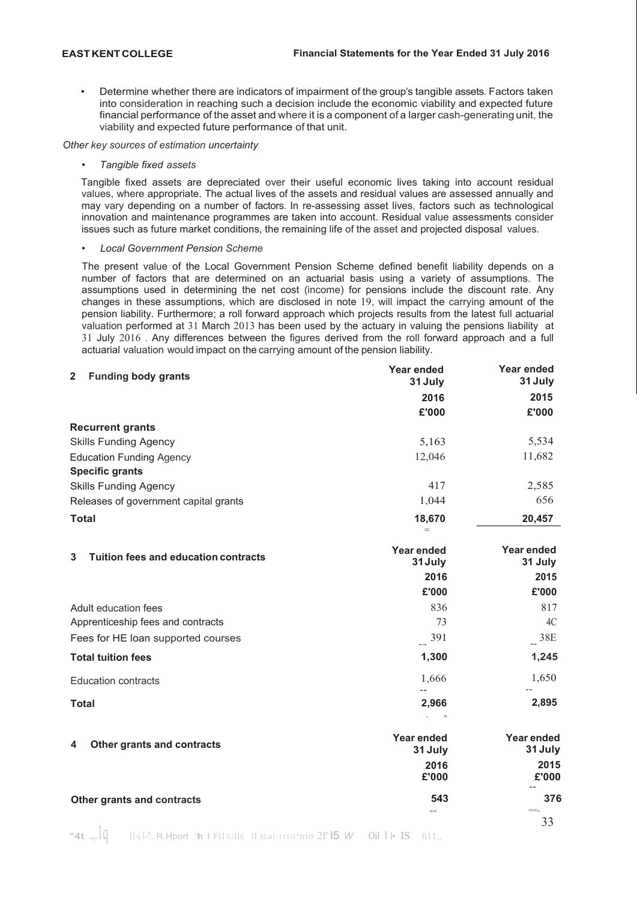• Determine whether there are indicators of impairment of the group's tangible assets. Factors taken into consideration in reaching such a decision include the economic viability and expected future financial performance of the asset and where it is a component of a larger cash-generating unit, the viability and expected future performance of that unit.

*Other key sources of estimation uncertainty*

### • *Tangible fixed assets*

**Total**

Tangible fixed assets are depreciated over their useful economic lives taking into account residual values, where appropriate. The actual lives of the assets and residual values are assessed annually and may vary depending on a number of factors. In re-assessing asset lives, factors such as technological innovation and maintenance programmes are taken into account. Residual value assessments consider issues such as future market conditions, the remaining life of the asset and projected disposal values.

### • *Local Government Pension Scheme*

The present value of the Local Government Pension Scheme defined benefit liability depends on a number of factors that are determined on an actuarial basis using a variety of assumptions. The assumptions used in determining the net cost (income) for pensions include the discount rate. Any changes in these assumptions, which are disclosed in note 19, will impact the carrying amount of the pension liability. Furthermore; a roll forward approach which projects results from the latest full actuarial valuation performed at 31 March 2013 has been used by the actuary in valuing the pensions liability at 31 July 2016 . Any differences between the figures derived from the roll forward approach and a full actuarial valuation would impact on the carrying amount of the pension liability.

| <b>Funding body grants</b><br>$\mathbf{2}$ | <b>Year ended</b><br>31 July | Year ended<br>31 July |
|--------------------------------------------|------------------------------|-----------------------|
|                                            | 2016                         | 2015                  |
|                                            | £'000                        | £'000                 |
| <b>Recurrent grants</b>                    |                              |                       |
| <b>Skills Funding Agency</b>               | 5,163                        | 5,534                 |
| <b>Education Funding Agency</b>            | 12,046                       | 11,682                |
| <b>Specific grants</b>                     |                              |                       |
| <b>Skills Funding Agency</b>               | 417                          | 2,585                 |
| Releases of government capital grants      | 1,044                        | 656                   |
| <b>Total</b>                               | 18,670                       | 20,457                |
|                                            |                              |                       |

| <b>Tuition fees and education contracts</b><br>3 | Year ended<br>31 July | Year ended<br>31 July |
|--------------------------------------------------|-----------------------|-----------------------|
|                                                  | 2016                  | 2015                  |
|                                                  | £'000                 | £'000                 |
| Adult education fees                             | 836                   | 817                   |
| Apprenticeship fees and contracts                | 73                    | 4C                    |
| Fees for HE loan supported courses               | 391                   | 38E                   |
| <b>Total tuition fees</b>                        | 1,300                 | 1,245                 |
| <b>Education contracts</b>                       | 1,666                 | 1,650                 |

### **4 Other grants and contracts Other grants and contracts Year ended Year ended 31 July 31July 2016 2015 £'000 £'000** -- **543 376** == ==-

**2,966 2,895**

- =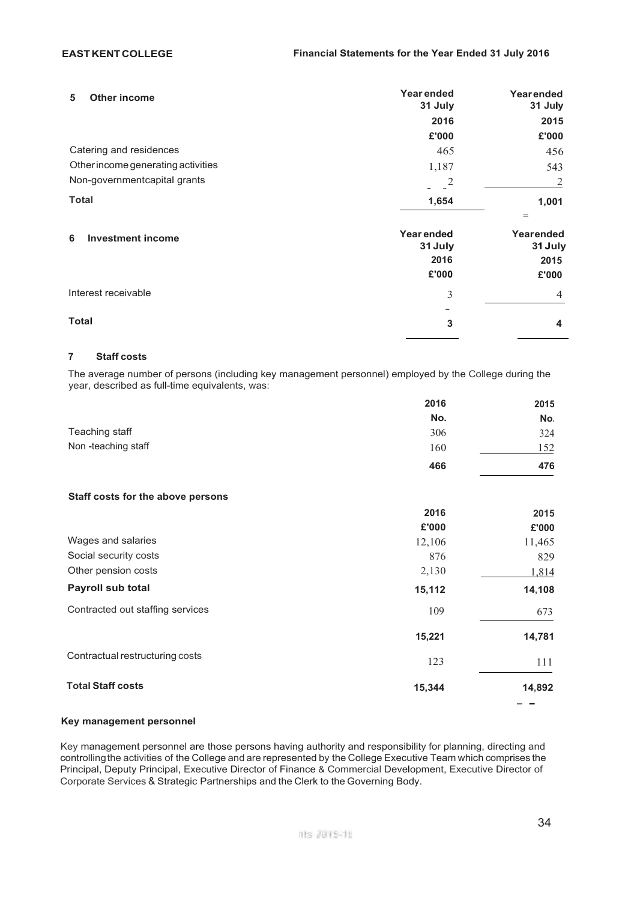| Other income<br>5                  | Year ended<br>31 July | Yearended<br>31 July    |
|------------------------------------|-----------------------|-------------------------|
|                                    | 2016                  | 2015                    |
|                                    | £'000                 | £'000                   |
| Catering and residences            | 465                   | 456                     |
| Other income generating activities | 1,187                 | 543                     |
| Non-governmentcapital grants       | 2                     | 2                       |
| <b>Total</b>                       | 1,654                 | 1,001<br>$=$            |
| <b>Investment income</b><br>6      | Year ended<br>31 July | Yearended<br>31 July    |
|                                    | 2016                  | 2015                    |
|                                    | £'000                 | £'000                   |
| Interest receivable                | 3                     | $\overline{4}$          |
|                                    |                       |                         |
| Total                              | 3                     | $\overline{\mathbf{4}}$ |
|                                    |                       |                         |

# **7 Staff costs**

The average number of persons (including key management personnel) employed by the College during the year, described as full-time equivalents, was:

|                                   | 2016   | 2015       |
|-----------------------------------|--------|------------|
|                                   | No.    | No.        |
| Teaching staff                    | 306    | 324        |
| Non-teaching staff                | 160    | <u>152</u> |
|                                   | 466    | 476        |
| Staff costs for the above persons |        |            |
|                                   | 2016   | 2015       |
|                                   | £'000  | £'000      |
| Wages and salaries                | 12,106 | 11,465     |
| Social security costs             | 876    | 829        |
| Other pension costs               | 2,130  | 1,814      |
| Payroll sub total                 | 15,112 | 14,108     |
| Contracted out staffing services  | 109    | 673        |
|                                   | 15,221 | 14,781     |
| Contractual restructuring costs   | 123    | 111        |
| <b>Total Staff costs</b>          | 15,344 | 14,892     |
|                                   |        |            |

# **Key management personnel**

Key management personnel are those persons having authority and responsibility for planning, directing and controllingthe activities of the College and are represented by the College Executive Team which comprises the Principal, Deputy Principal, Executive Director of Finance & Commercial Development, Executive Director of Corporate Services & Strategic Partnerships and the Clerk to the Governing Body.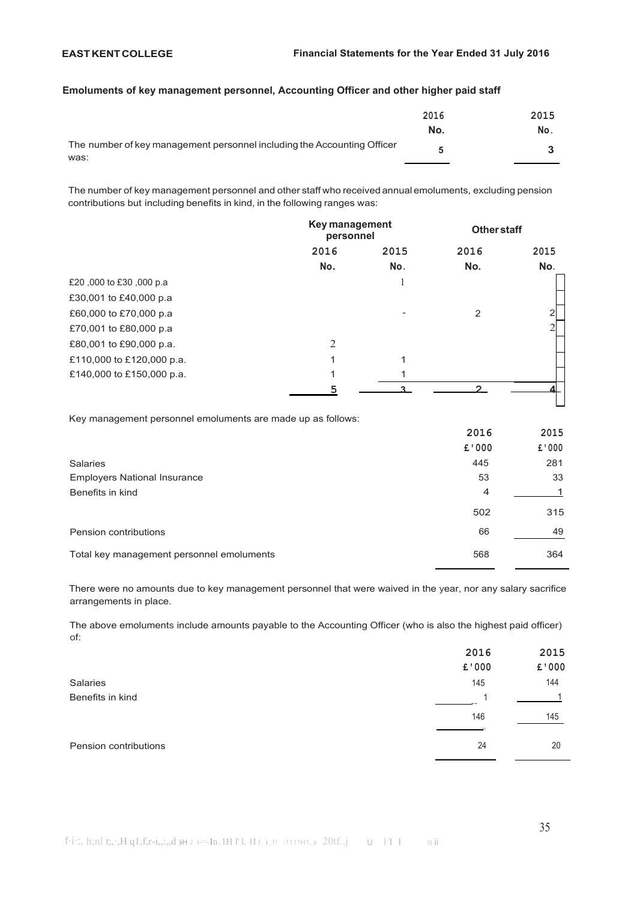## **Emoluments of key management personnel, Accounting Officer and other higher paid staff**

|                                                                         | 2016 | 2015 |
|-------------------------------------------------------------------------|------|------|
|                                                                         | No.  | No.  |
| The number of key management personnel including the Accounting Officer |      |      |
| was:                                                                    |      |      |

The number of key management personnel and other staff who received annual emoluments, excluding pension contributions but including benefits in kind, in the following ranges was:

|                           |      | Key management<br>personnel |      | <b>Other staff</b> |  |
|---------------------------|------|-----------------------------|------|--------------------|--|
|                           | 2016 | 2015                        | 2016 | 2015               |  |
|                           | No.  | No.                         | No.  | No.                |  |
| £20,000 to £30,000 p.a    |      |                             |      |                    |  |
| £30,001 to £40,000 p.a.   |      |                             |      |                    |  |
| £60,000 to £70,000 p.a    |      |                             | 2    |                    |  |
| £70,001 to £80,000 p.a    |      |                             |      |                    |  |
| £80,001 to £90,000 p.a.   | 2    |                             |      |                    |  |
| £110,000 to £120,000 p.a. |      |                             |      |                    |  |
| £140,000 to £150,000 p.a. |      |                             |      |                    |  |
|                           |      |                             |      |                    |  |

Key management personnel emoluments are made up as follows:

|                                           | 2016           | 2015   |
|-------------------------------------------|----------------|--------|
|                                           | £'000          | £ '000 |
| <b>Salaries</b>                           | 445            | 281    |
| <b>Employers National Insurance</b>       | 53             | 33     |
| Benefits in kind                          | $\overline{4}$ |        |
|                                           | 502            | 315    |
| Pension contributions                     | 66             | 49     |
| Total key management personnel emoluments | 568            | 364    |

There were no amounts due to key management personnel that were waived in the year, nor any salary sacrifice arrangements in place.

The above emoluments include amounts payable to the Accounting Officer (who is also the highest paid officer) of:

|                       | 2016  | 2015  |
|-----------------------|-------|-------|
|                       | £'000 | £'000 |
| Salaries              | 145   | 144   |
| Benefits in kind      |       |       |
|                       | 146   | 145   |
| Pension contributions | 24    | 20    |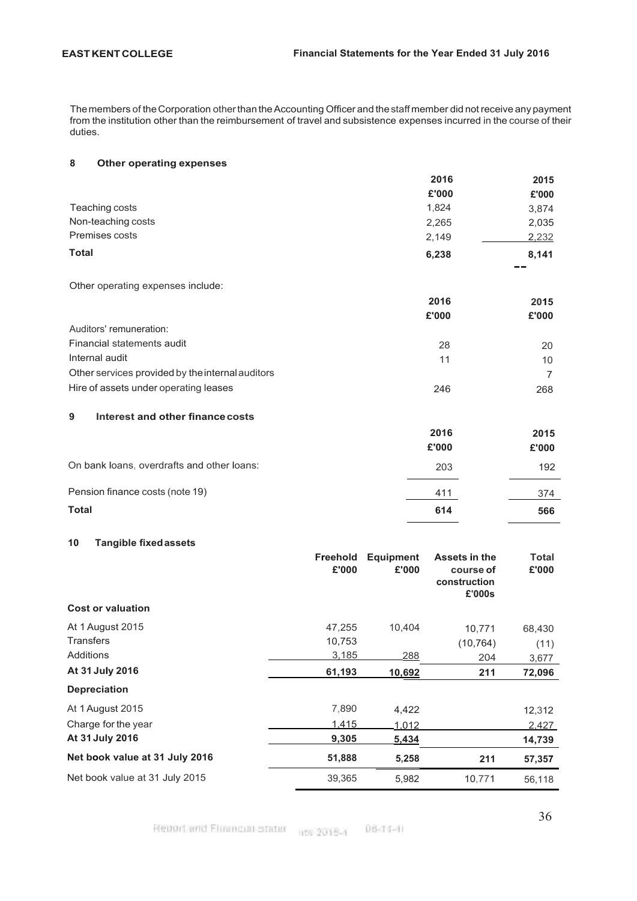The members of the Corporation other than the Accounting Officer and the staff member did not receive any payment from the institution other than the reimbursement of travel and subsistence expenses incurred in the course of their duties.

# **8 Other operating expenses**

|                    | 2016  | 2015  |
|--------------------|-------|-------|
|                    | £'000 | £'000 |
| Teaching costs     | 1,824 | 3,874 |
| Non-teaching costs | 2,265 | 2,035 |
| Premises costs     | 2,149 | 2,232 |
| <b>Total</b>       | 6,238 | 8,141 |
|                    |       | --    |

Other operating expenses include:

|                                                  | 2016  | 2015  |
|--------------------------------------------------|-------|-------|
|                                                  | £'000 | £'000 |
| Auditors' remuneration:                          |       |       |
| Financial statements audit                       | 28    | 20    |
| Internal audit                                   | 11    | 10    |
| Other services provided by the internal auditors |       |       |
| Hire of assets under operating leases            | 246   | 268   |

# **9 Interest and other financecosts**

|                                            | 2016<br>£'000 | 2015<br>£'000 |
|--------------------------------------------|---------------|---------------|
| On bank loans, overdrafts and other loans: | 203           | 192           |
| Pension finance costs (note 19)            | 411           | 374           |
| <b>Total</b>                               | 614           | 566           |

# **10 Tangible fixedassets**

|                                | <b>Freehold</b><br>£'000 | <b>Equipment</b><br>£'000 | Assets in the<br>course of<br>construction<br>£'000s | Total<br>£'000 |
|--------------------------------|--------------------------|---------------------------|------------------------------------------------------|----------------|
| <b>Cost or valuation</b>       |                          |                           |                                                      |                |
| At 1 August 2015               | 47,255                   | 10,404                    | 10,771                                               | 68,430         |
| <b>Transfers</b>               | 10,753                   |                           | (10, 764)                                            | (11)           |
| Additions                      | 3,185                    | 288                       | 204                                                  | 3,677          |
| At 31 July 2016                | 61,193                   | 10,692                    | 211                                                  | 72,096         |
| <b>Depreciation</b>            |                          |                           |                                                      |                |
| At 1 August 2015               | 7,890                    | 4,422                     |                                                      | 12,312         |
| Charge for the year            | 1.415                    | 1,012                     |                                                      | 2,427          |
| At 31 July 2016                | 9,305                    | 5,434                     |                                                      | 14,739         |
| Net book value at 31 July 2016 | 51,888                   | 5,258                     | 211                                                  | 57,357         |
| Net book value at 31 July 2015 | 39,365                   | 5,982                     | 10,771                                               | 56,118         |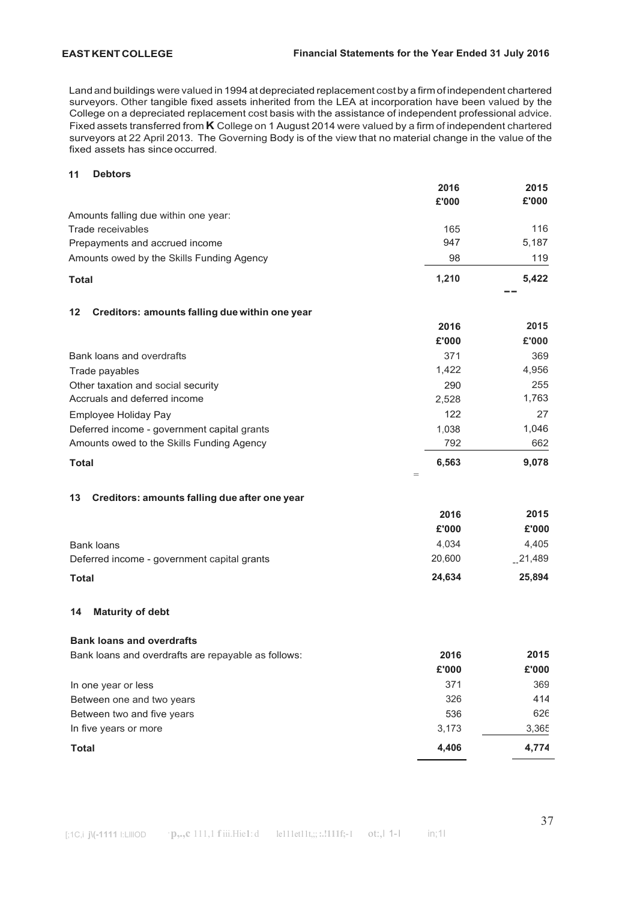Land and buildings were valued in 1994at depreciated replacement costby a firm of independent chartered surveyors. Other tangible fixed assets inherited from the LEA at incorporation have been valued by the College on a depreciated replacement cost basis with the assistance of independent professional advice. Fixed assets transferred from **K** College on 1 August 2014 were valued by a firm of independent chartered surveyors at 22 April 2013. The Governing Body is of the view that no material change in the value of the fixed assets has since occurred.

## **11 Debtors**

|                                                      | 2016         | 2015      |
|------------------------------------------------------|--------------|-----------|
|                                                      | £'000        | £'000     |
| Amounts falling due within one year:                 |              |           |
| Trade receivables                                    | 165          | 116       |
| Prepayments and accrued income                       | 947          | 5,187     |
| Amounts owed by the Skills Funding Agency            | 98           | 119       |
| <b>Total</b>                                         | 1,210        | 5,422     |
| Creditors: amounts falling due within one year<br>12 |              |           |
|                                                      | 2016         | 2015      |
|                                                      | £'000        | £'000     |
| Bank loans and overdrafts                            | 371          | 369       |
| Trade payables                                       | 1,422        | 4,956     |
| Other taxation and social security                   | 290          | 255       |
| Accruals and deferred income                         | 2,528        | 1,763     |
| Employee Holiday Pay                                 | 122          | 27        |
| Deferred income - government capital grants          | 1,038        | 1,046     |
| Amounts owed to the Skills Funding Agency            | 792          | 662       |
| <b>Total</b>                                         | 6,563<br>$=$ | 9,078     |
| Creditors: amounts falling due after one year<br>13  |              |           |
|                                                      | 2016         | 2015      |
|                                                      | £'000        | £'000     |
| <b>Bank loans</b>                                    | 4,034        | 4,405     |
| Deferred income - government capital grants          | 20,600       | $-21,489$ |
| <b>Total</b>                                         | 24,634       | 25,894    |
| <b>Maturity of debt</b><br>14                        |              |           |
|                                                      |              |           |
| <b>Bank loans and overdrafts</b>                     |              |           |
| Bank loans and overdrafts are repayable as follows:  | 2016         | 2015      |
|                                                      | £'000        | £'000     |
| In one year or less                                  | 371          | 369       |
| Between one and two years                            | 326          | 414       |
| Between two and five years                           | 536          | 626       |
| In five years or more                                | 3,173        | 3,365     |
| <b>Total</b>                                         | 4,406        | 4,774     |
|                                                      |              |           |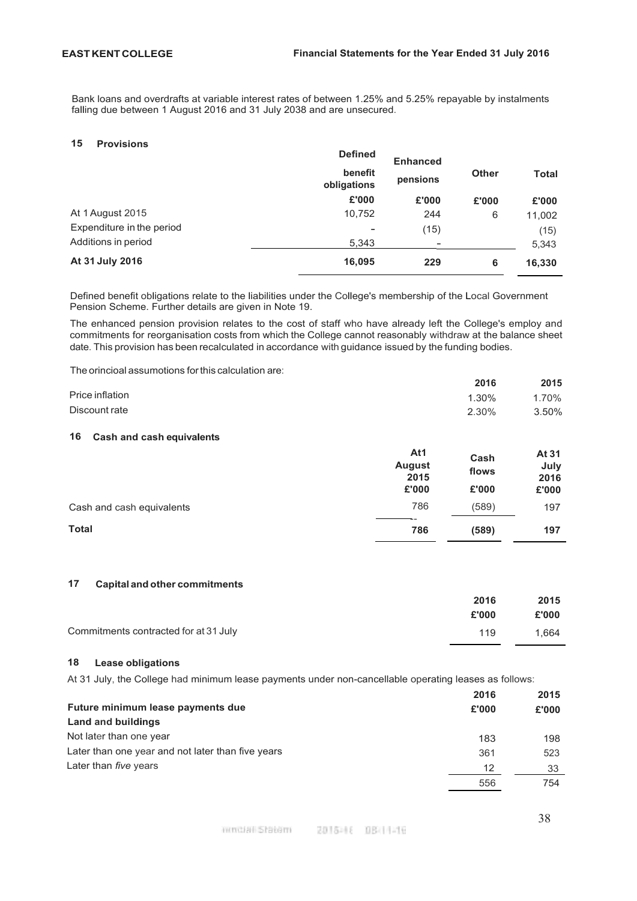Bank loans and overdrafts at variable interest rates of between 1.25% and 5.25% repayable by instalments falling due between 1 August 2016 and 31 July 2038 and are unsecured.

### **15 Provisions**

|                           | <b>Defined</b>         | <b>Enhanced</b> |              |              |
|---------------------------|------------------------|-----------------|--------------|--------------|
|                           | benefit<br>obligations | pensions        | <b>Other</b> | <b>Total</b> |
|                           | £'000                  | £'000           | £'000        | £'000        |
| At 1 August 2015          | 10,752                 | 244             | 6            | 11,002       |
| Expenditure in the period | -                      | (15)            |              | (15)         |
| Additions in period       | 5,343                  |                 |              | 5,343        |
| At 31 July 2016           | 16,095                 | 229             | 6            | 16,330       |

Defined benefit obligations relate to the liabilities under the College's membership of the Local Government Pension Scheme. Further details are given in Note 19.

The enhanced pension provision relates to the cost of staff who have already left the College's employ and commitments for reorganisation costs from which the College cannot reasonably withdraw at the balance sheet date. This provision has been recalculated in accordance with guidance issued by the funding bodies.

The orincioal assumotions forthis calculation are:

|                 | 2016  | 2015  |
|-----------------|-------|-------|
| Price inflation | 1.30% | 1.70% |
| Discount rate   | 2.30% | 3.50% |

# **16 Cash and cash equivalents**

|                           | At1<br><b>August</b><br>2015 | Cash<br>flows | At 31<br>July<br>2016 |
|---------------------------|------------------------------|---------------|-----------------------|
|                           | £'000                        | £'000         | £'000                 |
| Cash and cash equivalents | 786                          | (589)         | 197                   |
| <b>Total</b>              | 786                          | (589)         | 197                   |

# **17 Capital and other commitments**

|                                       | 2016  | 2015  |
|---------------------------------------|-------|-------|
|                                       | £'000 | £'000 |
| Commitments contracted for at 31 July | 119   | 1.664 |

### **18 Lease obligations**

At 31 July, the College had minimum lease payments under non-cancellable operating leases as follows:

|                                                   | 2016  | 2015  |
|---------------------------------------------------|-------|-------|
| Future minimum lease payments due                 | £'000 | £'000 |
| Land and buildings                                |       |       |
| Not later than one year                           | 183   | 198   |
| Later than one year and not later than five years | 361   | 523   |
| Later than <i>five</i> years                      | 12    | 33    |
|                                                   | 556   | 754   |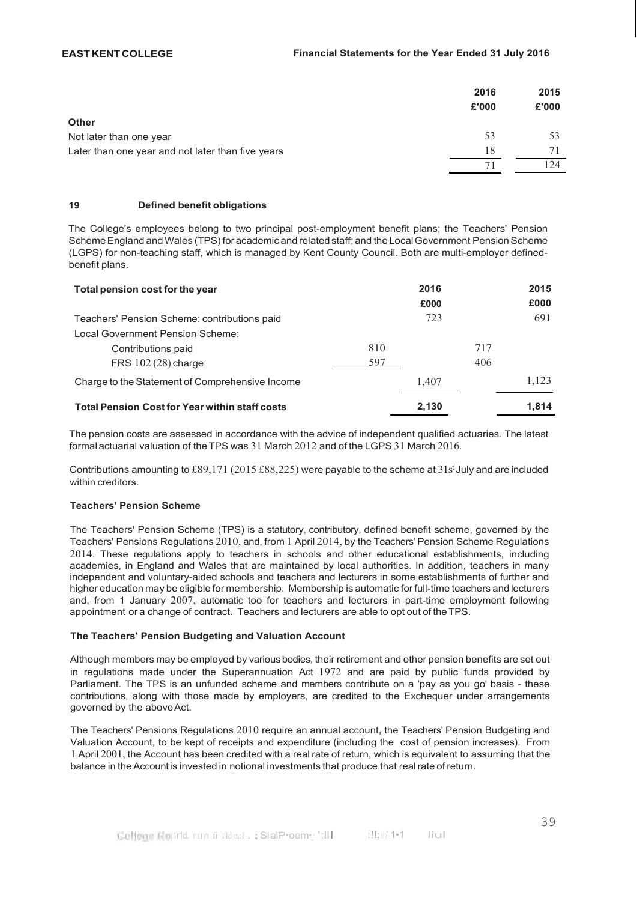|                                                   | 2016<br>£'000 | 2015<br>£'000 |
|---------------------------------------------------|---------------|---------------|
| <b>Other</b>                                      |               |               |
| Not later than one year                           | 53            | 53            |
| Later than one year and not later than five years | 18            |               |
|                                                   |               | $\sqrt{24}$   |

## **19 Defined benefit obligations**

The College's employees belong to two principal post-employment benefit plans; the Teachers' Pension Scheme England and Wales (TPS) for academic and related staff; and the Local Government Pension Scheme (LGPS) for non-teaching staff, which is managed by Kent County Council. Both are multi-employer definedbenefit plans.

| Total pension cost for the year                       |     | 2016  |     | 2015  |
|-------------------------------------------------------|-----|-------|-----|-------|
|                                                       |     | £000  |     | £000  |
| Teachers' Pension Scheme: contributions paid          |     | 723   |     | 691   |
| Local Government Pension Scheme:                      |     |       |     |       |
| Contributions paid                                    | 810 |       | 717 |       |
| FRS 102 (28) charge                                   | 597 |       | 406 |       |
| Charge to the Statement of Comprehensive Income       |     | 1.407 |     | 1.123 |
| <b>Total Pension Cost for Year within staff costs</b> |     | 2.130 |     | 1.814 |

The pension costs are assessed in accordance with the advice of independent qualified actuaries. The latest formal actuarial valuation of the TPS was 31 March 2012 and of the LGPS 31 March 2016.

Contributions amounting to £89,171 (2015 £88,225) were payable to the scheme at 31s<sup>t</sup> July and are included within creditors.

## **Teachers' Pension Scheme**

The Teachers' Pension Scheme (TPS) is a statutory, contributory, defined benefit scheme, governed by the Teachers' Pensions Regulations 2010, and, from 1 April 2014, by the Teachers' Pension Scheme Regulations 2014. These regulations apply to teachers in schools and other educational establishments, including academies, in England and Wales that are maintained by local authorities. In addition, teachers in many independent and voluntary-aided schools and teachers and lecturers in some establishments of further and higher education may be eligible for membership. Membership is automatic for full-time teachers and lecturers and, from 1 January 2007, automatic too for teachers and lecturers in part-time employment following appointment or a change of contract. Teachers and lecturers are able to opt out of theTPS.

## **The Teachers' Pension Budgeting and Valuation Account**

Although members may be employed by various bodies, their retirement and other pension benefits are set out in regulations made under the Superannuation Act 1972 and are paid by public funds provided by Parliament. The TPS is an unfunded scheme and members contribute on a 'pay as you go' basis - these contributions, along with those made by employers, are credited to the Exchequer under arrangements governed by the aboveAct.

The Teachers' Pensions Regulations 2010 require an annual account, the Teachers' Pension Budgeting and Valuation Account, to be kept of receipts and expenditure (including the cost of pension increases). From 1 April 2001, the Account has been credited with a real rate of return, which is equivalent to assuming that the balance in the Accountis invested in notional investments that produce that realrate of return.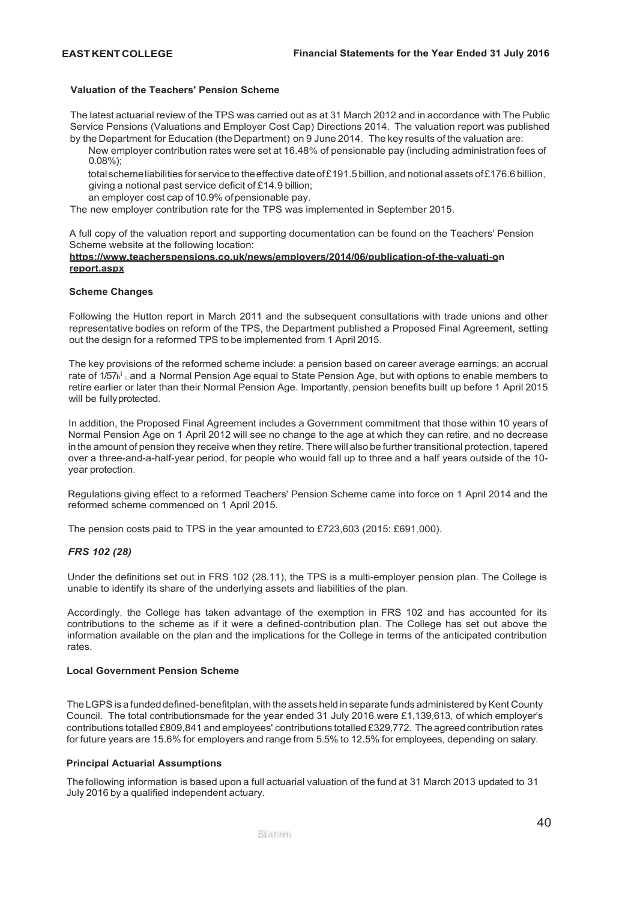## **Valuation of the Teachers' Pension Scheme**

The latest actuarial review of the TPS was carried out as at 31 March 2012 and in accordance with The Public Service Pensions (Valuations and Employer Cost Cap) Directions 2014. The valuation report was published by the Department for Education (the Department) on 9 June 2014. The key results of the valuation are:

New employer contribution rates were set at 16.48% of pensionable pay (including administration fees of 0.08%);

total scheme liabilities for service to the effective date of £191.5 billion, and notional assets of £176.6 billion, giving a notional past service deficit of £14.9 billion;

an employer cost cap of 10.9% of pensionable pay.

The new employer contribution rate for the TPS was implemented in September 2015.

A full copy of the valuation report and supporting documentation can be found on the Teachers' Pension Scheme website at the following location:

## **https[://www.teacherspensions.co.uk/news/employers/2014/06/publication-of-the-valuati](http://www.teacherspensions.co.uk/news/employers/2014/06/publication-of-the-valuati)-on report.aspx**

## **Scheme Changes**

Following the Hutton report in March 2011 and the subsequent consultations with trade unions and other representative bodies on reform of the TPS, the Department published a Proposed Final Agreement, setting out the design for a reformed TPS to be implemented from 1 April 2015.

The key provisions of the reformed scheme include: a pension based on career average earnings; an accrual rate of 1/57h<sup>1</sup>; and a Normal Pension Age equal to State Pension Age, but with options to enable members to retire earlier or later than their Normal Pension Age. Importantly, pension benefits built up before 1 April 2015 will be fullyprotected.

In addition, the Proposed Final Agreement includes a Government commitment that those within 10 years of Normal Pension Age on 1 April 2012 will see no change to the age at which they can retire, and no decrease in the amount of pension they receive when they retire. There will also be further transitional protection, tapered over a three-and-a-half-year period, for people who would fall up to three and a half years outside of the 10 year protection.

Regulations giving effect to a reformed Teachers' Pension Scheme came into force on 1 April 2014 and the reformed scheme commenced on 1 April 2015.

The pension costs paid to TPS in the year amounted to £723,603 (2015: £691,000).

## *FRS 102 (28)*

Under the definitions set out in FRS 102 (28.11), the TPS is a multi-employer pension plan. The College is unable to identify its share of the underlying assets and liabilities of the plan.

Accordingly, the College has taken advantage of the exemption in FRS 102 and has accounted for its contributions to the scheme as if it were a defined-contribution plan. The College has set out above the information available on the plan and the implications for the College in terms of the anticipated contribution rates.

### **Local Government Pension Scheme**

The LGPS is a funded defined-benefitplan, with the assets held in separate funds administered by Kent County Council. The total contributionsmade for the year ended 31 July 2016 were £1,139,613, of which employer's contributions totalled £809,841 and employees' contributions totalled £329,772. The agreed contribution rates for future years are 15.6% for employers and range from 5.5% to 12.5% for employees, depending on salary.

### **Principal Actuarial Assumptions**

The following information is based upon a full actuarial valuation of the fund at 31 March 2013 updated to 31 July 2016 by a qualified independent actuary.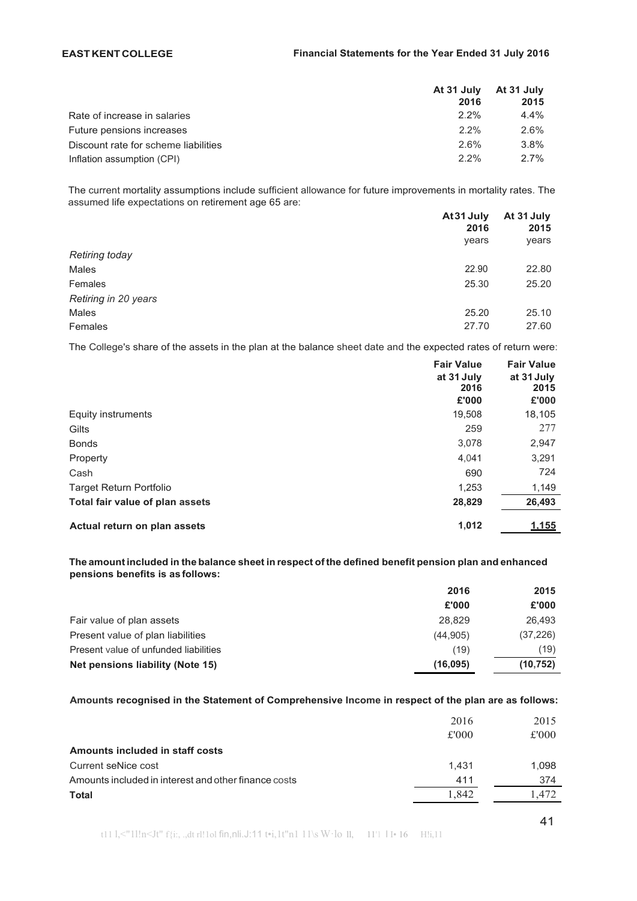# **EASTKENTCOLLEGE Financial Statements for the Year Ended 31 July 2016**

|                                      | At 31 July<br>2016 | At 31 July<br>2015 |
|--------------------------------------|--------------------|--------------------|
| Rate of increase in salaries         | 2.2%               | $4.4\%$            |
| Future pensions increases            | $2.2\%$            | 2.6%               |
| Discount rate for scheme liabilities | 2.6%               | $3.8\%$            |
| Inflation assumption (CPI)           | $2.2\%$            | $2.7\%$            |

The current mortality assumptions include sufficient allowance for future improvements in mortality rates. The assumed life expectations on retirement age 65 are:

|                       | At 31 July | At 31 July |
|-----------------------|------------|------------|
|                       | 2016       | 2015       |
|                       | years      | years      |
| <b>Retiring today</b> |            |            |
| Males                 | 22.90      | 22.80      |
| Females               | 25.30      | 25.20      |
| Retiring in 20 years  |            |            |
| Males                 | 25.20      | 25.10      |
| Females               | 27.70      | 27.60      |

The College's share of the assets in the plan at the balance sheet date and the expected rates of return were:

|                                 | <b>Fair Value</b><br>at 31 July<br>2016<br>£'000 | <b>Fair Value</b><br>at 31 July<br>2015<br>£'000 |
|---------------------------------|--------------------------------------------------|--------------------------------------------------|
| Equity instruments              | 19,508                                           | 18,105                                           |
| Gilts                           | 259                                              | 277                                              |
| <b>Bonds</b>                    | 3,078                                            | 2,947                                            |
| Property                        | 4.041                                            | 3,291                                            |
| Cash                            | 690                                              | 724                                              |
| <b>Target Return Portfolio</b>  | 1,253                                            | 1,149                                            |
| Total fair value of plan assets | 28,829                                           | 26,493                                           |
| Actual return on plan assets    | 1,012                                            | 1.155                                            |

## **The amount included in the balance sheet in respect ofthe defined benefit pension plan and enhanced pensions benefits is as follows:**

|                                       | 2016      | 2015      |
|---------------------------------------|-----------|-----------|
|                                       | £'000     | £'000     |
| Fair value of plan assets             | 28.829    | 26.493    |
| Present value of plan liabilities     | (44, 905) | (37, 226) |
| Present value of unfunded liabilities | (19)      | (19)      |
| Net pensions liability (Note 15)      | (16,095)  | (10, 752) |

# **Amounts recognised in the Statement of Comprehensive Income in respect of the plan are as follows:**

|                                                      | 2016  | 2015  |
|------------------------------------------------------|-------|-------|
|                                                      | £'000 | £'000 |
| Amounts included in staff costs                      |       |       |
| Current seNice cost                                  | 1.431 | 1.098 |
| Amounts included in interest and other finance costs | 411   | 374   |
| <b>Total</b>                                         | 1.842 | .472. |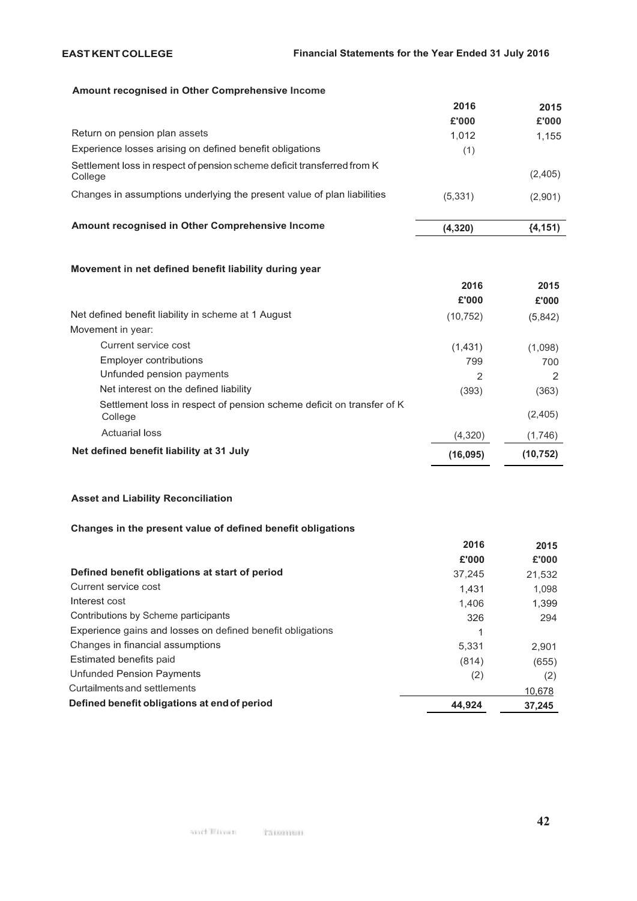# **Amount recognised in Other Comprehensive Income**

|                                                                                    | 2016    | 2015      |
|------------------------------------------------------------------------------------|---------|-----------|
|                                                                                    | £'000   | £'000     |
| Return on pension plan assets                                                      | 1.012   | 1,155     |
| Experience losses arising on defined benefit obligations                           | (1)     |           |
| Settlement loss in respect of pension scheme deficit transferred from K<br>College |         | (2,405)   |
| Changes in assumptions underlying the present value of plan liabilities            | (5,331) | (2,901)   |
| Amount recognised in Other Comprehensive Income                                    | (4,320) | ${4,151}$ |

# **Movement in net defined benefit liability during year**

|                                                                                  | 2016      | 2015      |
|----------------------------------------------------------------------------------|-----------|-----------|
|                                                                                  | £'000     | £'000     |
| Net defined benefit liability in scheme at 1 August                              | (10, 752) | (5,842)   |
| Movement in year:                                                                |           |           |
| Current service cost                                                             | (1,431)   | (1,098)   |
| Employer contributions                                                           | 799       | 700       |
| Unfunded pension payments                                                        | 2         |           |
| Net interest on the defined liability                                            | (393)     | (363)     |
| Settlement loss in respect of pension scheme deficit on transfer of K<br>College |           | (2,405)   |
| <b>Actuarial loss</b>                                                            | (4,320)   | (1,746)   |
| Net defined benefit liability at 31 July                                         | (16,095)  | (10, 752) |

# **Asset and Liability Reconciliation**

# **Changes in the present value of defined benefit obligations**

|                                                            | 2016   | 2015   |
|------------------------------------------------------------|--------|--------|
|                                                            | £'000  | £'000  |
| Defined benefit obligations at start of period             | 37,245 | 21,532 |
| Current service cost                                       | 1.431  | 1.098  |
| Interest cost                                              | 1.406  | 1,399  |
| Contributions by Scheme participants                       | 326    | 294    |
| Experience gains and losses on defined benefit obligations |        |        |
| Changes in financial assumptions                           | 5,331  | 2.901  |
| Estimated benefits paid                                    | (814)  | (655)  |
| Unfunded Pension Payments                                  | (2)    | (2)    |
| Curtailments and settlements                               |        | 10,678 |
| Defined benefit obligations at end of period               | 44.924 | 37.245 |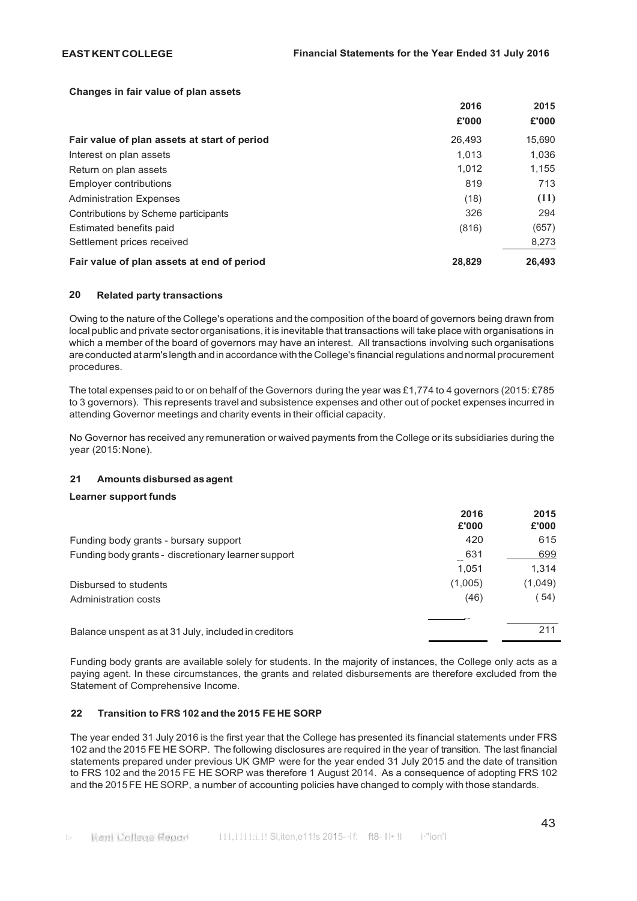## **Changes in fair value of plan assets**

|                                              | 2016   | 2015   |
|----------------------------------------------|--------|--------|
|                                              | £'000  | £'000  |
| Fair value of plan assets at start of period | 26,493 | 15,690 |
| Interest on plan assets                      | 1.013  | 1.036  |
| Return on plan assets                        | 1.012  | 1.155  |
| Employer contributions                       | 819    | 713    |
| <b>Administration Expenses</b>               | (18)   | (11)   |
| Contributions by Scheme participants         | 326    | 294    |
| Estimated benefits paid                      | (816)  | (657)  |
| Settlement prices received                   |        | 8,273  |
| Fair value of plan assets at end of period   | 28,829 | 26.493 |

## **20 Related party transactions**

Owing to the nature of the College's operations and the composition of the board of governors being drawn from local public and private sector organisations, it is inevitable that transactions will take place with organisations in which a member of the board of governors may have an interest. All transactions involving such organisations areconducted at arm's length andin accordance withthe College's financialregulations andnormal procurement procedures.

The total expenses paid to or on behalf of the Governors during the year was £1,774 to 4 governors (2015: £785 to 3 governors). This represents travel and subsistence expenses and other out of pocket expenses incurred in attending Governor meetings and charity events in their official capacity.

No Governor has received any remuneration or waived payments from the College or its subsidiaries during the year (2015:None).

## **21 Amounts disbursed asagent**

## **Learner support funds**

|                                                      | 2016<br>£'000 | 2015<br>£'000 |
|------------------------------------------------------|---------------|---------------|
| Funding body grants - bursary support                | 420           | 615           |
| Funding body grants - discretionary learner support  | 631           | 699           |
|                                                      | 1.051         | 1,314         |
| Disbursed to students                                | (1,005)       | (1,049)       |
| Administration costs                                 | (46)          | (54)          |
| Balance unspent as at 31 July, included in creditors |               | 211           |

Funding body grants are available solely for students. In the majority of instances, the College only acts as a paying agent. In these circumstances, the grants and related disbursements are therefore excluded from the Statement of Comprehensive Income.

# **22 Transition to FRS 102 and the 2015 FE HE SORP**

The year ended 31 July 2016 is the first year that the College has presented its financial statements under FRS 102 and the 2015 FE HE SORP. The following disclosures are required in the year of transition. The last financial statements prepared under previous UK GMP were for the year ended 31 July 2015 and the date of transition to FRS 102 and the 2015 FE HE SORP was therefore 1 August 2014. As a consequence of adopting FRS 102 and the 2015FE HE SORP, a number of accounting policies have changed to comply with those standards.